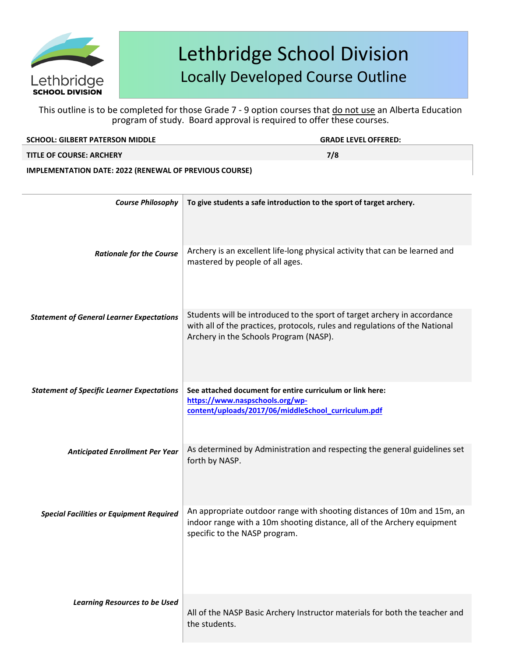

This outline is to be completed for those Grade 7 - 9 option courses that do not use an Alberta Education program of study. Board approval is required to offer these courses.

| <b>SCHOOL: GILBERT PATERSON MIDDLE</b> | <b>GRADE LEVEL OFFERED:</b> |
|----------------------------------------|-----------------------------|
| <b>TITLE OF COURSE: ARCHERY</b>        | 7/8                         |
|                                        |                             |

**IMPLEMENTATION DATE: 2022 (RENEWAL OF PREVIOUS COURSE)**

| <b>Course Philosophy</b>                          | To give students a safe introduction to the sport of target archery.                                                                                                                              |
|---------------------------------------------------|---------------------------------------------------------------------------------------------------------------------------------------------------------------------------------------------------|
| <b>Rationale for the Course</b>                   | Archery is an excellent life-long physical activity that can be learned and<br>mastered by people of all ages.                                                                                    |
| <b>Statement of General Learner Expectations</b>  | Students will be introduced to the sport of target archery in accordance<br>with all of the practices, protocols, rules and regulations of the National<br>Archery in the Schools Program (NASP). |
| <b>Statement of Specific Learner Expectations</b> | See attached document for entire curriculum or link here:<br>https://www.naspschools.org/wp-<br>content/uploads/2017/06/middleSchool_curriculum.pdf                                               |
| <b>Anticipated Enrollment Per Year</b>            | As determined by Administration and respecting the general guidelines set<br>forth by NASP.                                                                                                       |
| <b>Special Facilities or Equipment Required</b>   | An appropriate outdoor range with shooting distances of 10m and 15m, an<br>indoor range with a 10m shooting distance, all of the Archery equipment<br>specific to the NASP program.               |
| <b>Learning Resources to be Used</b>              | All of the NASP Basic Archery Instructor materials for both the teacher and<br>the students.                                                                                                      |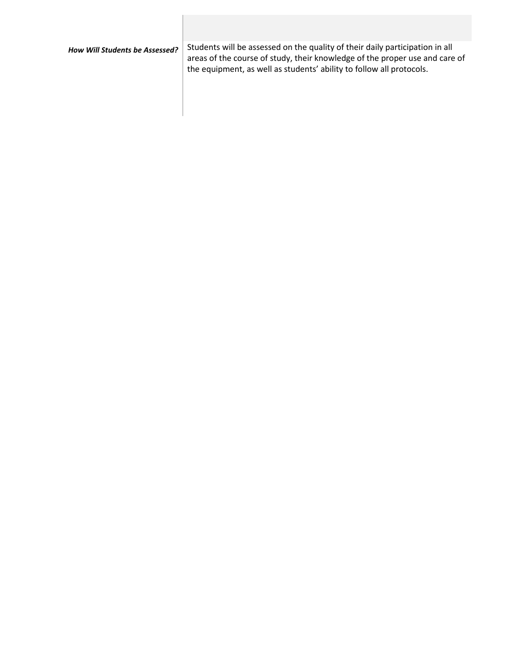*How Will Students be Assessed?* Students will be assessed on the quality of their daily participation in all areas of the course of study, their knowledge of the proper use and care of the equipment, as well as students' ability to follow all protocols.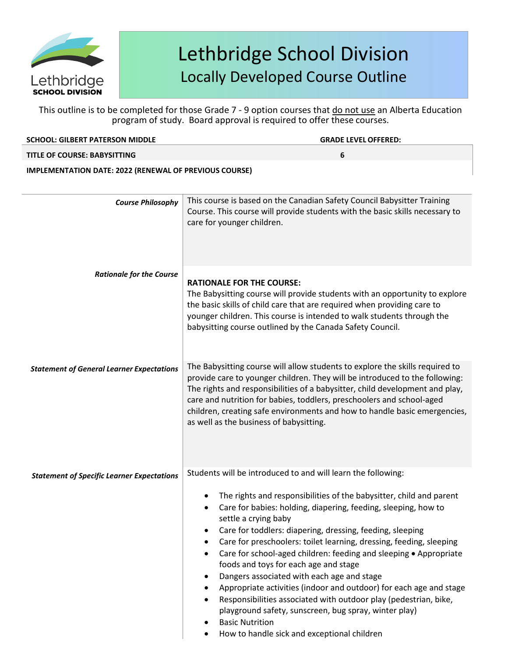

| <b>SCHOOL: GILBERT PATERSON MIDDLE</b>                        | <b>GRADE LEVEL OFFERED:</b>                                                                                                                                                           |
|---------------------------------------------------------------|---------------------------------------------------------------------------------------------------------------------------------------------------------------------------------------|
| TITLE OF COURSE: BABYSITTING                                  | 6                                                                                                                                                                                     |
| <b>IMPLEMENTATION DATE: 2022 (RENEWAL OF PREVIOUS COURSE)</b> |                                                                                                                                                                                       |
|                                                               |                                                                                                                                                                                       |
| <b>Course Philosophy</b>                                      | This course is based on the Canadian Safety Council Babysitter Training<br>Course. This course will provide students with the basic skills necessary to<br>care for younger children. |

| <b>Rationale for the Course</b>                   | <b>RATIONALE FOR THE COURSE:</b><br>The Babysitting course will provide students with an opportunity to explore<br>the basic skills of child care that are required when providing care to<br>younger children. This course is intended to walk students through the<br>babysitting course outlined by the Canada Safety Council.                                                                                                                                                                                                                                                                                                                                                                                                             |
|---------------------------------------------------|-----------------------------------------------------------------------------------------------------------------------------------------------------------------------------------------------------------------------------------------------------------------------------------------------------------------------------------------------------------------------------------------------------------------------------------------------------------------------------------------------------------------------------------------------------------------------------------------------------------------------------------------------------------------------------------------------------------------------------------------------|
| <b>Statement of General Learner Expectations</b>  | The Babysitting course will allow students to explore the skills required to<br>provide care to younger children. They will be introduced to the following:<br>The rights and responsibilities of a babysitter, child development and play,<br>care and nutrition for babies, toddlers, preschoolers and school-aged<br>children, creating safe environments and how to handle basic emergencies,<br>as well as the business of babysitting.                                                                                                                                                                                                                                                                                                  |
| <b>Statement of Specific Learner Expectations</b> | Students will be introduced to and will learn the following:<br>The rights and responsibilities of the babysitter, child and parent<br>Care for babies: holding, diapering, feeding, sleeping, how to<br>settle a crying baby<br>Care for toddlers: diapering, dressing, feeding, sleeping<br>Care for preschoolers: toilet learning, dressing, feeding, sleeping<br>Care for school-aged children: feeding and sleeping • Appropriate<br>$\bullet$<br>foods and toys for each age and stage<br>Dangers associated with each age and stage<br>Appropriate activities (indoor and outdoor) for each age and stage<br>Responsibilities associated with outdoor play (pedestrian, bike,<br>playground safety, sunscreen, bug spray, winter play) |

- **Basic Nutrition**
- How to handle sick and exceptional children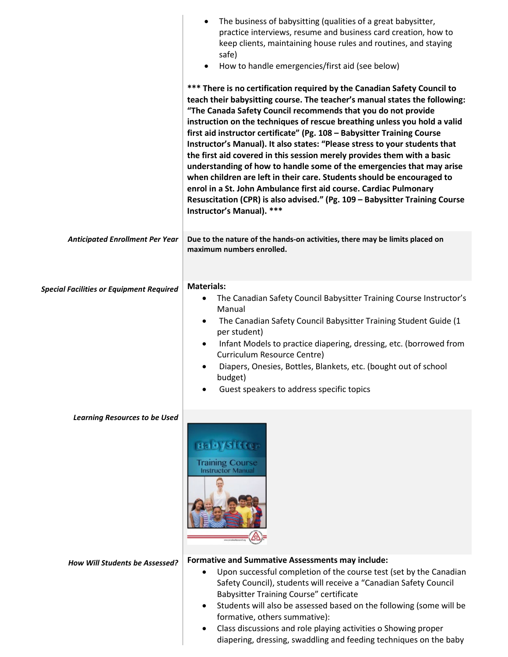|                                                 | The business of babysitting (qualities of a great babysitter,<br>$\bullet$<br>practice interviews, resume and business card creation, how to<br>keep clients, maintaining house rules and routines, and staying<br>safe)<br>How to handle emergencies/first aid (see below)<br>$\bullet$                                                                                                                                                                                                                                                                                                                                                                                                                                                                                                                                                                                     |
|-------------------------------------------------|------------------------------------------------------------------------------------------------------------------------------------------------------------------------------------------------------------------------------------------------------------------------------------------------------------------------------------------------------------------------------------------------------------------------------------------------------------------------------------------------------------------------------------------------------------------------------------------------------------------------------------------------------------------------------------------------------------------------------------------------------------------------------------------------------------------------------------------------------------------------------|
|                                                 | *** There is no certification required by the Canadian Safety Council to<br>teach their babysitting course. The teacher's manual states the following:<br>"The Canada Safety Council recommends that you do not provide<br>instruction on the techniques of rescue breathing unless you hold a valid<br>first aid instructor certificate" (Pg. 108 - Babysitter Training Course<br>Instructor's Manual). It also states: "Please stress to your students that<br>the first aid covered in this session merely provides them with a basic<br>understanding of how to handle some of the emergencies that may arise<br>when children are left in their care. Students should be encouraged to<br>enrol in a St. John Ambulance first aid course. Cardiac Pulmonary<br>Resuscitation (CPR) is also advised." (Pg. 109 - Babysitter Training Course<br>Instructor's Manual). *** |
| <b>Anticipated Enrollment Per Year</b>          | Due to the nature of the hands-on activities, there may be limits placed on<br>maximum numbers enrolled.                                                                                                                                                                                                                                                                                                                                                                                                                                                                                                                                                                                                                                                                                                                                                                     |
| <b>Special Facilities or Equipment Required</b> | <b>Materials:</b><br>The Canadian Safety Council Babysitter Training Course Instructor's<br>$\bullet$<br>Manual<br>The Canadian Safety Council Babysitter Training Student Guide (1<br>$\bullet$<br>per student)<br>Infant Models to practice diapering, dressing, etc. (borrowed from<br>$\bullet$<br>Curriculum Resource Centre)<br>Diapers, Onesies, Bottles, Blankets, etc. (bought out of school<br>budget)<br>Guest speakers to address specific topics                                                                                                                                                                                                                                                                                                                                                                                                                |
| <b>Learning Resources to be Used</b>            | <b>Training Course</b><br><b>Instructor Manual</b>                                                                                                                                                                                                                                                                                                                                                                                                                                                                                                                                                                                                                                                                                                                                                                                                                           |
| How Will Students be Assessed?                  | <b>Formative and Summative Assessments may include:</b><br>Upon successful completion of the course test (set by the Canadian<br>Safety Council), students will receive a "Canadian Safety Council<br><b>Babysitter Training Course" certificate</b><br>Students will also be assessed based on the following (some will be<br>formative, others summative):<br>Class discussions and role playing activities o Showing proper<br>diapering, dressing, swaddling and feeding techniques on the baby                                                                                                                                                                                                                                                                                                                                                                          |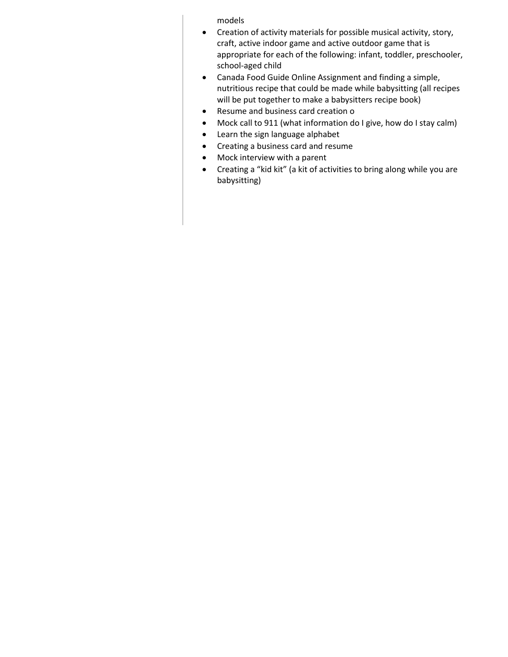models

- Creation of activity materials for possible musical activity, story, craft, active indoor game and active outdoor game that is appropriate for each of the following: infant, toddler, preschooler, school-aged child
- Canada Food Guide Online Assignment and finding a simple, nutritious recipe that could be made while babysitting (all recipes will be put together to make a babysitters recipe book)
- Resume and business card creation o
- Mock call to 911 (what information do I give, how do I stay calm)
- Learn the sign language alphabet
- Creating a business card and resume
- Mock interview with a parent
- Creating a "kid kit" (a kit of activities to bring along while you are babysitting)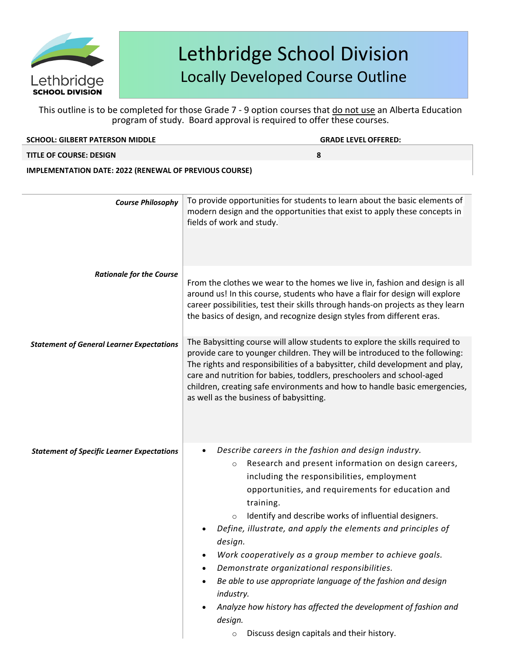

This outline is to be completed for those Grade 7 - 9 option courses that do not use an Alberta Education program of study. Board approval is required to offer these courses.

| <b>SCHOOL: GILBERT PATERSON MIDDLE</b> | <b>GRADE LEVEL OFFERED:</b> |  |
|----------------------------------------|-----------------------------|--|
| <b>TITLE OF COURSE: DESIGN</b>         |                             |  |
|                                        |                             |  |

**IMPLEMENTATION DATE: 2022 (RENEWAL OF PREVIOUS COURSE)**

| <b>Course Philosophy</b>                          | To provide opportunities for students to learn about the basic elements of<br>modern design and the opportunities that exist to apply these concepts in<br>fields of work and study.                                                                                                                                                                                                                                                                                                                                                                                                                                                                                                                                 |
|---------------------------------------------------|----------------------------------------------------------------------------------------------------------------------------------------------------------------------------------------------------------------------------------------------------------------------------------------------------------------------------------------------------------------------------------------------------------------------------------------------------------------------------------------------------------------------------------------------------------------------------------------------------------------------------------------------------------------------------------------------------------------------|
| <b>Rationale for the Course</b>                   | From the clothes we wear to the homes we live in, fashion and design is all<br>around us! In this course, students who have a flair for design will explore<br>career possibilities, test their skills through hands-on projects as they learn<br>the basics of design, and recognize design styles from different eras.                                                                                                                                                                                                                                                                                                                                                                                             |
| <b>Statement of General Learner Expectations</b>  | The Babysitting course will allow students to explore the skills required to<br>provide care to younger children. They will be introduced to the following:<br>The rights and responsibilities of a babysitter, child development and play,<br>care and nutrition for babies, toddlers, preschoolers and school-aged<br>children, creating safe environments and how to handle basic emergencies,<br>as well as the business of babysitting.                                                                                                                                                                                                                                                                         |
| <b>Statement of Specific Learner Expectations</b> | Describe careers in the fashion and design industry.<br>Research and present information on design careers,<br>$\circ$<br>including the responsibilities, employment<br>opportunities, and requirements for education and<br>training.<br>Identify and describe works of influential designers.<br>$\circ$<br>Define, illustrate, and apply the elements and principles of<br>design.<br>Work cooperatively as a group member to achieve goals.<br>Demonstrate organizational responsibilities.<br>Be able to use appropriate language of the fashion and design<br>industry.<br>Analyze how history has affected the development of fashion and<br>design.<br>Discuss design capitals and their history.<br>$\circ$ |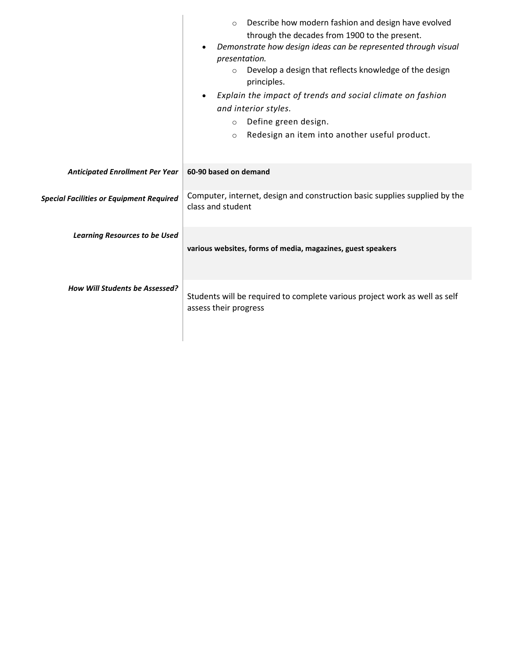|                                                 | Describe how modern fashion and design have evolved<br>$\Omega$<br>through the decades from 1900 to the present.<br>Demonstrate how design ideas can be represented through visual<br>presentation.<br>Develop a design that reflects knowledge of the design<br>$\circ$<br>principles.<br>Explain the impact of trends and social climate on fashion<br>$\bullet$<br>and interior styles.<br>Define green design.<br>$\circ$<br>Redesign an item into another useful product.<br>$\circ$ |
|-------------------------------------------------|-------------------------------------------------------------------------------------------------------------------------------------------------------------------------------------------------------------------------------------------------------------------------------------------------------------------------------------------------------------------------------------------------------------------------------------------------------------------------------------------|
| <b>Anticipated Enrollment Per Year</b>          | 60-90 based on demand                                                                                                                                                                                                                                                                                                                                                                                                                                                                     |
| <b>Special Facilities or Equipment Required</b> | Computer, internet, design and construction basic supplies supplied by the<br>class and student                                                                                                                                                                                                                                                                                                                                                                                           |
| <b>Learning Resources to be Used</b>            | various websites, forms of media, magazines, guest speakers                                                                                                                                                                                                                                                                                                                                                                                                                               |
| <b>How Will Students be Assessed?</b>           | Students will be required to complete various project work as well as self<br>assess their progress                                                                                                                                                                                                                                                                                                                                                                                       |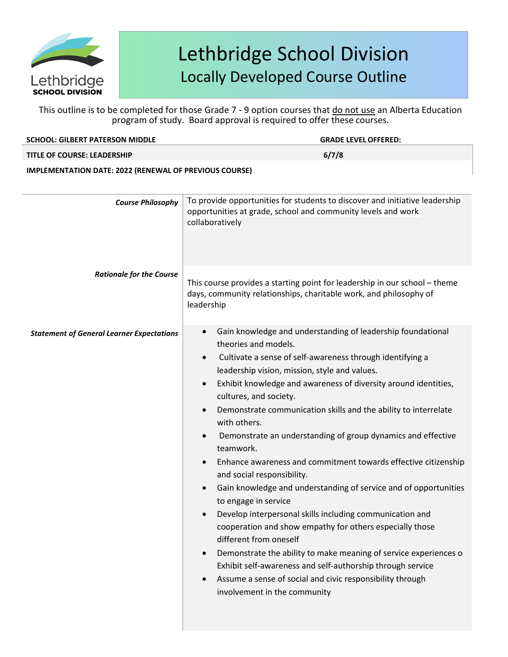

| <b>SCHOOL: GILBERT PATERSON MIDDLE</b>                        | <b>GRADE LEVEL OFFERED:</b>                                                                                                                                                                                                                                                                                                                                                                                                                                                                                                                                                                                                                                                                                                                                                                                                                                                                                                                                                                                                                                           |  |
|---------------------------------------------------------------|-----------------------------------------------------------------------------------------------------------------------------------------------------------------------------------------------------------------------------------------------------------------------------------------------------------------------------------------------------------------------------------------------------------------------------------------------------------------------------------------------------------------------------------------------------------------------------------------------------------------------------------------------------------------------------------------------------------------------------------------------------------------------------------------------------------------------------------------------------------------------------------------------------------------------------------------------------------------------------------------------------------------------------------------------------------------------|--|
| <b>TITLE OF COURSE: LEADERSHIP</b>                            | 6/7/8                                                                                                                                                                                                                                                                                                                                                                                                                                                                                                                                                                                                                                                                                                                                                                                                                                                                                                                                                                                                                                                                 |  |
| <b>IMPLEMENTATION DATE: 2022 (RENEWAL OF PREVIOUS COURSE)</b> |                                                                                                                                                                                                                                                                                                                                                                                                                                                                                                                                                                                                                                                                                                                                                                                                                                                                                                                                                                                                                                                                       |  |
| <b>Course Philosophy</b>                                      | To provide opportunities for students to discover and initiative leadership<br>opportunities at grade, school and community levels and work<br>collaboratively                                                                                                                                                                                                                                                                                                                                                                                                                                                                                                                                                                                                                                                                                                                                                                                                                                                                                                        |  |
| <b>Rationale for the Course</b>                               | This course provides a starting point for leadership in our school - theme<br>days, community relationships, charitable work, and philosophy of<br>leadership                                                                                                                                                                                                                                                                                                                                                                                                                                                                                                                                                                                                                                                                                                                                                                                                                                                                                                         |  |
| <b>Statement of General Learner Expectations</b>              | Gain knowledge and understanding of leadership foundational<br>theories and models.<br>Cultivate a sense of self-awareness through identifying a<br>leadership vision, mission, style and values.<br>Exhibit knowledge and awareness of diversity around identities,<br>$\bullet$<br>cultures, and society.<br>Demonstrate communication skills and the ability to interrelate<br>$\bullet$<br>with others.<br>Demonstrate an understanding of group dynamics and effective<br>teamwork.<br>Enhance awareness and commitment towards effective citizenship<br>and social responsibility.<br>Gain knowledge and understanding of service and of opportunities<br>to engage in service<br>Develop interpersonal skills including communication and<br>cooperation and show empathy for others especially those<br>different from oneself<br>Demonstrate the ability to make meaning of service experiences o<br>Exhibit self-awareness and self-authorship through service<br>Assume a sense of social and civic responsibility through<br>involvement in the community |  |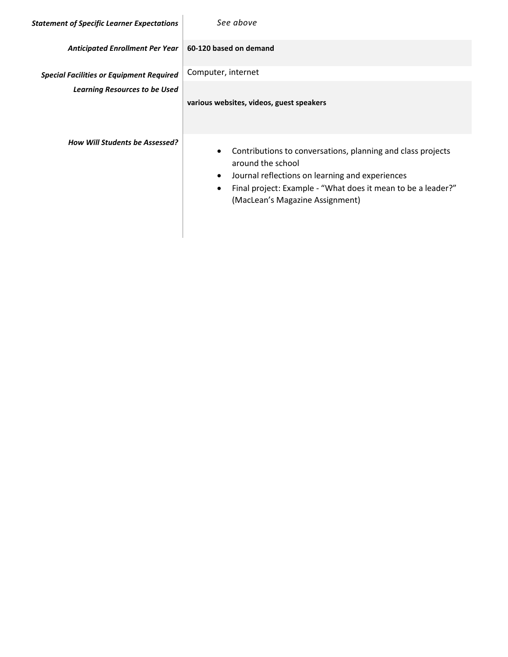| <b>Statement of Specific Learner Expectations</b> | See above                                                                                                                                                                                                                                                                     |
|---------------------------------------------------|-------------------------------------------------------------------------------------------------------------------------------------------------------------------------------------------------------------------------------------------------------------------------------|
| <b>Anticipated Enrollment Per Year</b>            | 60-120 based on demand                                                                                                                                                                                                                                                        |
| <b>Special Facilities or Equipment Required</b>   | Computer, internet                                                                                                                                                                                                                                                            |
| <b>Learning Resources to be Used</b>              | various websites, videos, guest speakers                                                                                                                                                                                                                                      |
| <b>How Will Students be Assessed?</b>             | Contributions to conversations, planning and class projects<br>$\bullet$<br>around the school<br>Journal reflections on learning and experiences<br>$\bullet$<br>Final project: Example - "What does it mean to be a leader?"<br>$\bullet$<br>(MacLean's Magazine Assignment) |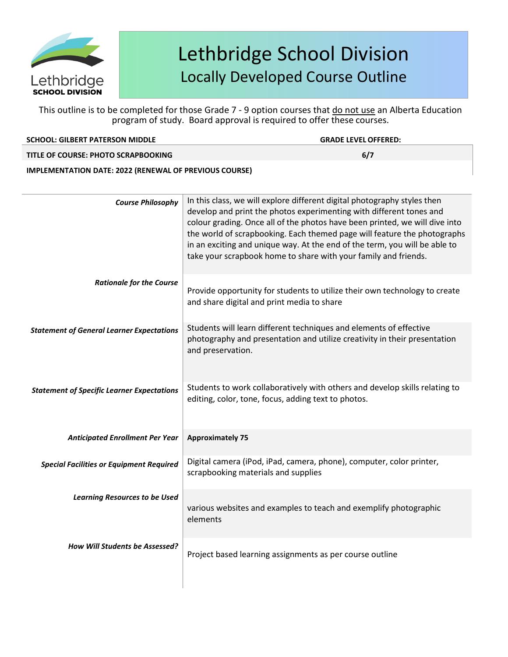

This outline is to be completed for those Grade 7 - 9 option courses that do not use an Alberta Education program of study. Board approval is required to offer these courses.

|  | <b>SCHOOL: GILBERT PATERSON MIDDLE</b> |  |
|--|----------------------------------------|--|
|  |                                        |  |

 $GRADE$  *LEVEL OFFERED:* 

**TITLE OF COURSE: PHOTO SCRAPBOOKING 6/7**

**IMPLEMENTATION DATE: 2022 (RENEWAL OF PREVIOUS COURSE)**

| <b>Course Philosophy</b>                          | In this class, we will explore different digital photography styles then<br>develop and print the photos experimenting with different tones and<br>colour grading. Once all of the photos have been printed, we will dive into<br>the world of scrapbooking. Each themed page will feature the photographs<br>in an exciting and unique way. At the end of the term, you will be able to<br>take your scrapbook home to share with your family and friends. |
|---------------------------------------------------|-------------------------------------------------------------------------------------------------------------------------------------------------------------------------------------------------------------------------------------------------------------------------------------------------------------------------------------------------------------------------------------------------------------------------------------------------------------|
| <b>Rationale for the Course</b>                   | Provide opportunity for students to utilize their own technology to create<br>and share digital and print media to share                                                                                                                                                                                                                                                                                                                                    |
| <b>Statement of General Learner Expectations</b>  | Students will learn different techniques and elements of effective<br>photography and presentation and utilize creativity in their presentation<br>and preservation.                                                                                                                                                                                                                                                                                        |
| <b>Statement of Specific Learner Expectations</b> | Students to work collaboratively with others and develop skills relating to<br>editing, color, tone, focus, adding text to photos.                                                                                                                                                                                                                                                                                                                          |
| <b>Anticipated Enrollment Per Year</b>            | <b>Approximately 75</b>                                                                                                                                                                                                                                                                                                                                                                                                                                     |
| <b>Special Facilities or Equipment Required</b>   | Digital camera (iPod, iPad, camera, phone), computer, color printer,<br>scrapbooking materials and supplies                                                                                                                                                                                                                                                                                                                                                 |
| <b>Learning Resources to be Used</b>              | various websites and examples to teach and exemplify photographic<br>elements                                                                                                                                                                                                                                                                                                                                                                               |
| How Will Students be Assessed?                    | Project based learning assignments as per course outline                                                                                                                                                                                                                                                                                                                                                                                                    |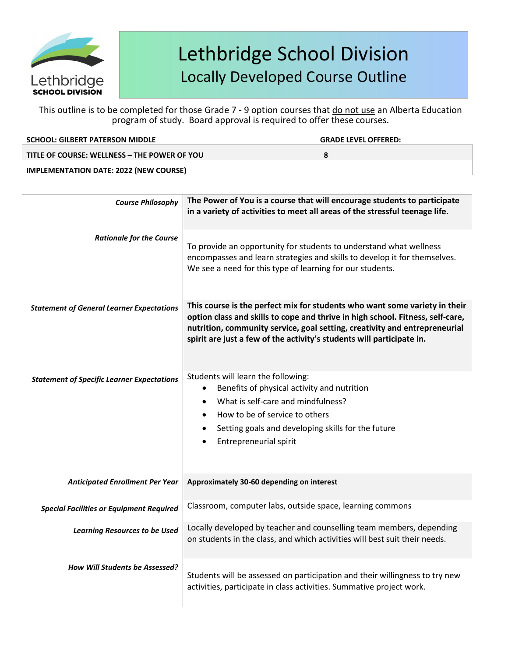

| <b>SCHOOL: GILBERT PATERSON MIDDLE</b>        | <b>GRADE LEVEL OFFERED:</b> |
|-----------------------------------------------|-----------------------------|
| TITLE OF COURSE: WELLNESS - THE POWER OF YOU  |                             |
| <b>IMPLEMENTATION DATE: 2022 (NEW COURSE)</b> |                             |

| <b>Course Philosophy</b>                          | The Power of You is a course that will encourage students to participate<br>in a variety of activities to meet all areas of the stressful teenage life.                                                                                                                                                             |
|---------------------------------------------------|---------------------------------------------------------------------------------------------------------------------------------------------------------------------------------------------------------------------------------------------------------------------------------------------------------------------|
| <b>Rationale for the Course</b>                   | To provide an opportunity for students to understand what wellness<br>encompasses and learn strategies and skills to develop it for themselves.<br>We see a need for this type of learning for our students.                                                                                                        |
| <b>Statement of General Learner Expectations</b>  | This course is the perfect mix for students who want some variety in their<br>option class and skills to cope and thrive in high school. Fitness, self-care,<br>nutrition, community service, goal setting, creativity and entrepreneurial<br>spirit are just a few of the activity's students will participate in. |
| <b>Statement of Specific Learner Expectations</b> | Students will learn the following:<br>Benefits of physical activity and nutrition<br>What is self-care and mindfulness?<br>How to be of service to others<br>$\bullet$<br>Setting goals and developing skills for the future<br><b>Entrepreneurial spirit</b>                                                       |
| <b>Anticipated Enrollment Per Year</b>            | Approximately 30-60 depending on interest                                                                                                                                                                                                                                                                           |
| <b>Special Facilities or Equipment Required</b>   | Classroom, computer labs, outside space, learning commons                                                                                                                                                                                                                                                           |
| <b>Learning Resources to be Used</b>              | Locally developed by teacher and counselling team members, depending<br>on students in the class, and which activities will best suit their needs.                                                                                                                                                                  |
| <b>How Will Students be Assessed?</b>             | Students will be assessed on participation and their willingness to try new<br>activities, participate in class activities. Summative project work.                                                                                                                                                                 |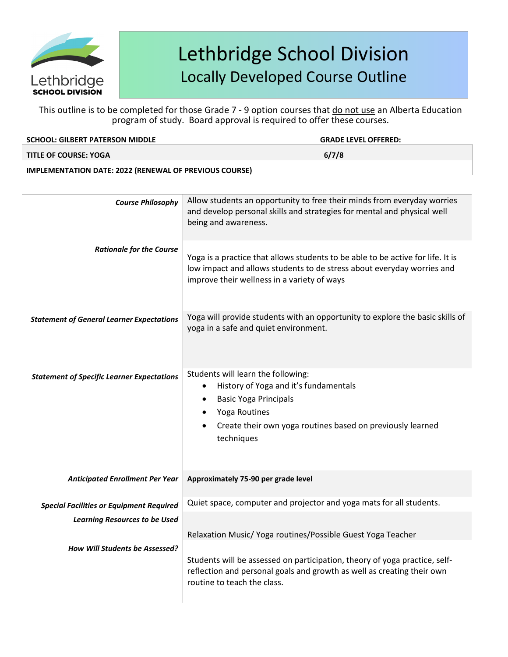

| <b>SCHOOL: GILBERT PATERSON MIDDLE</b>                        | <b>GRADE LEVEL OFFERED:</b>                                                                                                                                                                                        |
|---------------------------------------------------------------|--------------------------------------------------------------------------------------------------------------------------------------------------------------------------------------------------------------------|
| <b>TITLE OF COURSE: YOGA</b>                                  | 6/7/8                                                                                                                                                                                                              |
| <b>IMPLEMENTATION DATE: 2022 (RENEWAL OF PREVIOUS COURSE)</b> |                                                                                                                                                                                                                    |
| <b>Course Philosophy</b>                                      | Allow students an opportunity to free their minds from everyday worries<br>and develop personal skills and strategies for mental and physical well<br>being and awareness.                                         |
| <b>Rationale for the Course</b>                               | Yoga is a practice that allows students to be able to be active for life. It is<br>low impact and allows students to de stress about everyday worries and<br>improve their wellness in a variety of ways           |
| <b>Statement of General Learner Expectations</b>              | Yoga will provide students with an opportunity to explore the basic skills of<br>yoga in a safe and quiet environment.                                                                                             |
| <b>Statement of Specific Learner Expectations</b>             | Students will learn the following:<br>History of Yoga and it's fundamentals<br>٠<br><b>Basic Yoga Principals</b><br>٠<br>Yoga Routines<br>Create their own yoga routines based on previously learned<br>techniques |
| <b>Anticipated Enrollment Per Year</b>                        | Approximately 75-90 per grade level                                                                                                                                                                                |
| Special Facilities or Equipment Required                      | Quiet space, computer and projector and yoga mats for all students.                                                                                                                                                |
| <b>Learning Resources to be Used</b>                          | Relaxation Music/ Yoga routines/Possible Guest Yoga Teacher                                                                                                                                                        |
| How Will Students be Assessed?                                | Students will be assessed on participation, theory of yoga practice, self-<br>reflection and personal goals and growth as well as creating their own<br>routine to teach the class.                                |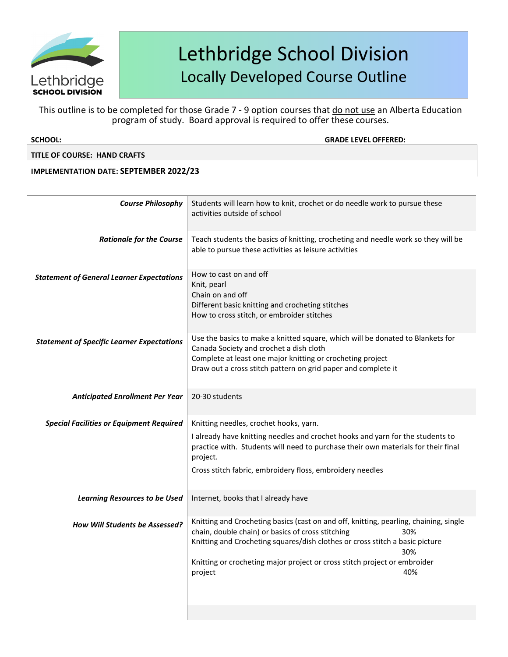

This outline is to be completed for those Grade 7 - 9 option courses that do not use an Alberta Education program of study. Board approval is required to offer these courses.

**SCHOOL: GRADE LEVELOFFERED:**

### **TITLE OF COURSE: HAND CRAFTS**

### **IMPLEMENTATION DATE: SEPTEMBER 2022/23**

| Students will learn how to knit, crochet or do needle work to pursue these<br>activities outside of school                                                                                                                                                                                                                              |
|-----------------------------------------------------------------------------------------------------------------------------------------------------------------------------------------------------------------------------------------------------------------------------------------------------------------------------------------|
| Teach students the basics of knitting, crocheting and needle work so they will be<br>able to pursue these activities as leisure activities                                                                                                                                                                                              |
| How to cast on and off<br>Knit, pearl<br>Chain on and off<br>Different basic knitting and crocheting stitches<br>How to cross stitch, or embroider stitches                                                                                                                                                                             |
| Use the basics to make a knitted square, which will be donated to Blankets for<br>Canada Society and crochet a dish cloth<br>Complete at least one major knitting or crocheting project<br>Draw out a cross stitch pattern on grid paper and complete it                                                                                |
| 20-30 students                                                                                                                                                                                                                                                                                                                          |
| Knitting needles, crochet hooks, yarn.<br>I already have knitting needles and crochet hooks and yarn for the students to<br>practice with. Students will need to purchase their own materials for their final<br>project.<br>Cross stitch fabric, embroidery floss, embroidery needles                                                  |
| Internet, books that I already have                                                                                                                                                                                                                                                                                                     |
| Knitting and Crocheting basics (cast on and off, knitting, pearling, chaining, single<br>chain, double chain) or basics of cross stitching<br>30%<br>Knitting and Crocheting squares/dish clothes or cross stitch a basic picture<br>30%<br>Knitting or crocheting major project or cross stitch project or embroider<br>40%<br>project |
|                                                                                                                                                                                                                                                                                                                                         |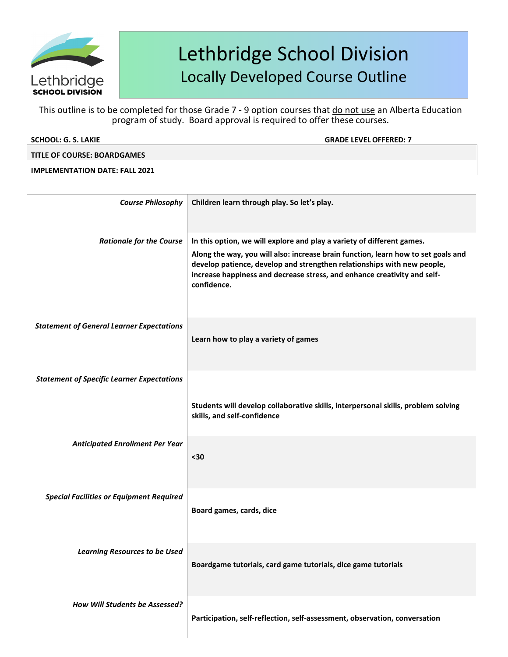

| <b>SCHOOL: G. S. LAKIE</b>            | <b>GRADE LEVEL OFFERED: 7</b>               |
|---------------------------------------|---------------------------------------------|
| <b>TITLE OF COURSE: BOARDGAMES</b>    |                                             |
| <b>IMPLEMENTATION DATE: FALL 2021</b> |                                             |
|                                       |                                             |
|                                       |                                             |
| <b>Course Philosophy</b>              | Children learn through play. So let's play. |
|                                       |                                             |
|                                       |                                             |

| <b>Rationale for the Course</b>                   | In this option, we will explore and play a variety of different games.                                                                                                                                                                                  |
|---------------------------------------------------|---------------------------------------------------------------------------------------------------------------------------------------------------------------------------------------------------------------------------------------------------------|
|                                                   | Along the way, you will also: increase brain function, learn how to set goals and<br>develop patience, develop and strengthen relationships with new people,<br>increase happiness and decrease stress, and enhance creativity and self-<br>confidence. |
| <b>Statement of General Learner Expectations</b>  | Learn how to play a variety of games                                                                                                                                                                                                                    |
| <b>Statement of Specific Learner Expectations</b> |                                                                                                                                                                                                                                                         |
|                                                   | Students will develop collaborative skills, interpersonal skills, problem solving<br>skills, and self-confidence                                                                                                                                        |
| <b>Anticipated Enrollment Per Year</b>            | $30$                                                                                                                                                                                                                                                    |
| <b>Special Facilities or Equipment Required</b>   | Board games, cards, dice                                                                                                                                                                                                                                |
| <b>Learning Resources to be Used</b>              | Boardgame tutorials, card game tutorials, dice game tutorials                                                                                                                                                                                           |
| How Will Students be Assessed?                    | Participation, self-reflection, self-assessment, observation, conversation                                                                                                                                                                              |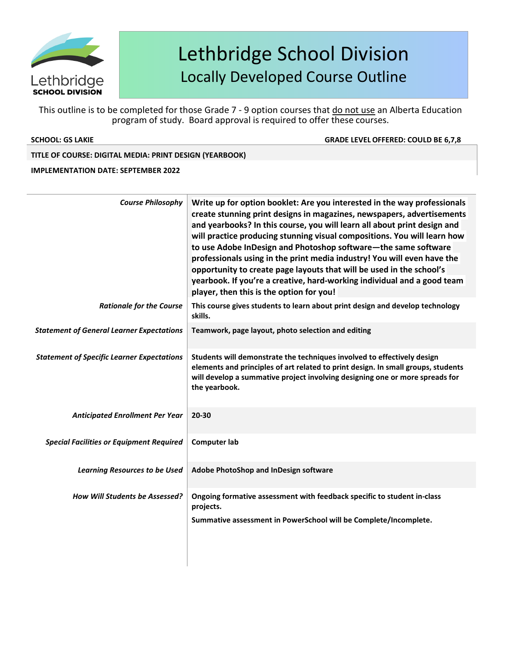

This outline is to be completed for those Grade 7 - 9 option courses that do not use an Alberta Education program of study. Board approval is required to offer these courses.

**SCHOOL: GS LAKIE GRADE LEVELOFFERED: COULD BE 6,7,8**

### **TITLE OF COURSE: DIGITAL MEDIA: PRINT DESIGN (YEARBOOK)**

### **IMPLEMENTATION DATE: SEPTEMBER 2022**

| <b>Course Philosophy</b>                          | Write up for option booklet: Are you interested in the way professionals<br>create stunning print designs in magazines, newspapers, advertisements<br>and yearbooks? In this course, you will learn all about print design and<br>will practice producing stunning visual compositions. You will learn how<br>to use Adobe InDesign and Photoshop software-the same software<br>professionals using in the print media industry! You will even have the<br>opportunity to create page layouts that will be used in the school's<br>yearbook. If you're a creative, hard-working individual and a good team<br>player, then this is the option for you! |
|---------------------------------------------------|--------------------------------------------------------------------------------------------------------------------------------------------------------------------------------------------------------------------------------------------------------------------------------------------------------------------------------------------------------------------------------------------------------------------------------------------------------------------------------------------------------------------------------------------------------------------------------------------------------------------------------------------------------|
| <b>Rationale for the Course</b>                   | This course gives students to learn about print design and develop technology<br>skills.                                                                                                                                                                                                                                                                                                                                                                                                                                                                                                                                                               |
| <b>Statement of General Learner Expectations</b>  | Teamwork, page layout, photo selection and editing                                                                                                                                                                                                                                                                                                                                                                                                                                                                                                                                                                                                     |
| <b>Statement of Specific Learner Expectations</b> | Students will demonstrate the techniques involved to effectively design<br>elements and principles of art related to print design. In small groups, students<br>will develop a summative project involving designing one or more spreads for<br>the yearbook.                                                                                                                                                                                                                                                                                                                                                                                          |
| <b>Anticipated Enrollment Per Year</b>            | 20-30                                                                                                                                                                                                                                                                                                                                                                                                                                                                                                                                                                                                                                                  |
| <b>Special Facilities or Equipment Required</b>   | <b>Computer lab</b>                                                                                                                                                                                                                                                                                                                                                                                                                                                                                                                                                                                                                                    |
| <b>Learning Resources to be Used</b>              | Adobe PhotoShop and InDesign software                                                                                                                                                                                                                                                                                                                                                                                                                                                                                                                                                                                                                  |
| <b>How Will Students be Assessed?</b>             | Ongoing formative assessment with feedback specific to student in-class<br>projects.<br>Summative assessment in PowerSchool will be Complete/Incomplete.                                                                                                                                                                                                                                                                                                                                                                                                                                                                                               |
|                                                   |                                                                                                                                                                                                                                                                                                                                                                                                                                                                                                                                                                                                                                                        |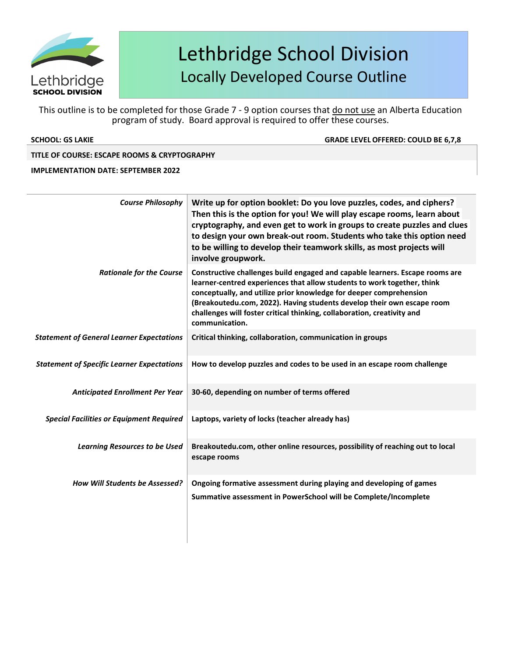

This outline is to be completed for those Grade 7 - 9 option courses that do not use an Alberta Education program of study. Board approval is required to offer these courses.

**SCHOOL: GS LAKIE GRADE LEVELOFFERED: COULD BE 6,7,8**

### **TITLE OF COURSE: ESCAPE ROOMS & CRYPTOGRAPHY**

### **IMPLEMENTATION DATE: SEPTEMBER 2022**

| <b>Course Philosophy</b>                          | Write up for option booklet: Do you love puzzles, codes, and ciphers?<br>Then this is the option for you! We will play escape rooms, learn about<br>cryptography, and even get to work in groups to create puzzles and clues<br>to design your own break-out room. Students who take this option need<br>to be willing to develop their teamwork skills, as most projects will<br>involve groupwork. |
|---------------------------------------------------|------------------------------------------------------------------------------------------------------------------------------------------------------------------------------------------------------------------------------------------------------------------------------------------------------------------------------------------------------------------------------------------------------|
| <b>Rationale for the Course</b>                   | Constructive challenges build engaged and capable learners. Escape rooms are<br>learner-centred experiences that allow students to work together, think<br>conceptually, and utilize prior knowledge for deeper comprehension<br>(Breakoutedu.com, 2022). Having students develop their own escape room<br>challenges will foster critical thinking, collaboration, creativity and<br>communication. |
| <b>Statement of General Learner Expectations</b>  | Critical thinking, collaboration, communication in groups                                                                                                                                                                                                                                                                                                                                            |
| <b>Statement of Specific Learner Expectations</b> | How to develop puzzles and codes to be used in an escape room challenge                                                                                                                                                                                                                                                                                                                              |
| <b>Anticipated Enrollment Per Year</b>            | 30-60, depending on number of terms offered                                                                                                                                                                                                                                                                                                                                                          |
| <b>Special Facilities or Equipment Required</b>   | Laptops, variety of locks (teacher already has)                                                                                                                                                                                                                                                                                                                                                      |
| <b>Learning Resources to be Used</b>              | Breakoutedu.com, other online resources, possibility of reaching out to local<br>escape rooms                                                                                                                                                                                                                                                                                                        |
| How Will Students be Assessed?                    | Ongoing formative assessment during playing and developing of games<br>Summative assessment in PowerSchool will be Complete/Incomplete                                                                                                                                                                                                                                                               |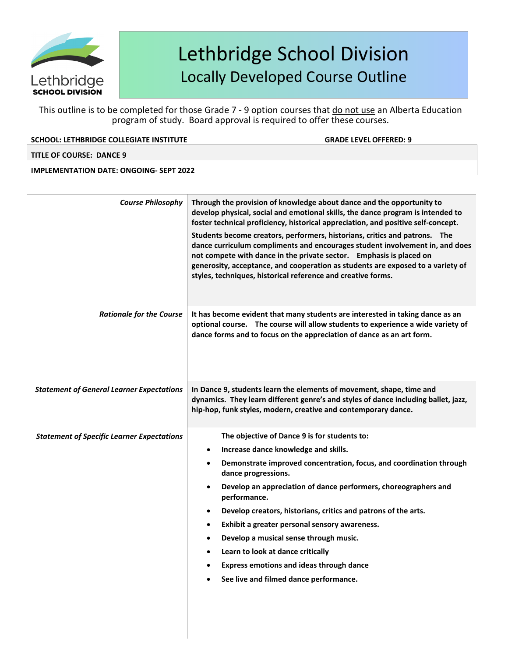

This outline is to be completed for those Grade 7 - 9 option courses that do not use an Alberta Education program of study. Board approval is required to offer these courses.

**SCHOOL:** LETHBRIDGE COLLEGIATE INSTITUTE **GRADE LEVEL OF GRADE LEVEL OF FERED:** 9

**TITLE OF COURSE: DANCE 9**

**IMPLEMENTATION DATE: ONGOING- SEPT 2022**

| <b>Course Philosophy</b>                          | Through the provision of knowledge about dance and the opportunity to<br>develop physical, social and emotional skills, the dance program is intended to<br>foster technical proficiency, historical appreciation, and positive self-concept.<br>Students become creators, performers, historians, critics and patrons. The<br>dance curriculum compliments and encourages student involvement in, and does<br>not compete with dance in the private sector. Emphasis is placed on<br>generosity, acceptance, and cooperation as students are exposed to a variety of<br>styles, techniques, historical reference and creative forms.              |
|---------------------------------------------------|----------------------------------------------------------------------------------------------------------------------------------------------------------------------------------------------------------------------------------------------------------------------------------------------------------------------------------------------------------------------------------------------------------------------------------------------------------------------------------------------------------------------------------------------------------------------------------------------------------------------------------------------------|
| <b>Rationale for the Course</b>                   | It has become evident that many students are interested in taking dance as an<br>optional course. The course will allow students to experience a wide variety of<br>dance forms and to focus on the appreciation of dance as an art form.                                                                                                                                                                                                                                                                                                                                                                                                          |
| <b>Statement of General Learner Expectations</b>  | In Dance 9, students learn the elements of movement, shape, time and<br>dynamics. They learn different genre's and styles of dance including ballet, jazz,<br>hip-hop, funk styles, modern, creative and contemporary dance.                                                                                                                                                                                                                                                                                                                                                                                                                       |
| <b>Statement of Specific Learner Expectations</b> | The objective of Dance 9 is for students to:<br>Increase dance knowledge and skills.<br>Demonstrate improved concentration, focus, and coordination through<br>dance progressions.<br>Develop an appreciation of dance performers, choreographers and<br>$\bullet$<br>performance.<br>Develop creators, historians, critics and patrons of the arts.<br>$\bullet$<br>Exhibit a greater personal sensory awareness.<br>$\bullet$<br>Develop a musical sense through music.<br>$\bullet$<br>Learn to look at dance critically<br>$\bullet$<br><b>Express emotions and ideas through dance</b><br>$\bullet$<br>See live and filmed dance performance. |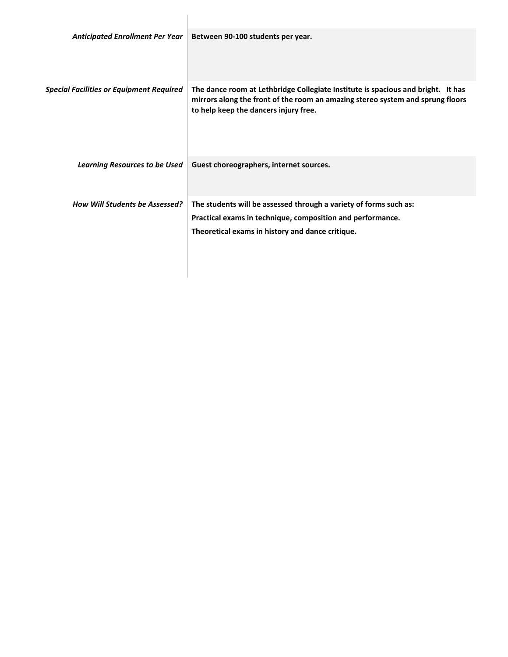| <b>Anticipated Enrollment Per Year</b>          | Between 90-100 students per year.                                                                                                                                                                           |
|-------------------------------------------------|-------------------------------------------------------------------------------------------------------------------------------------------------------------------------------------------------------------|
| <b>Special Facilities or Equipment Required</b> | The dance room at Lethbridge Collegiate Institute is spacious and bright. It has<br>mirrors along the front of the room an amazing stereo system and sprung floors<br>to help keep the dancers injury free. |
| <b>Learning Resources to be Used</b>            | Guest choreographers, internet sources.                                                                                                                                                                     |
| <b>How Will Students be Assessed?</b>           | The students will be assessed through a variety of forms such as:<br>Practical exams in technique, composition and performance.<br>Theoretical exams in history and dance critique.                         |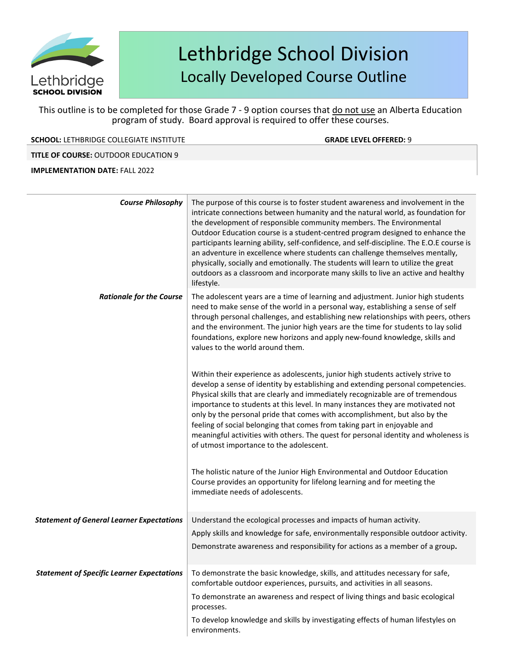

This outline is to be completed for those Grade 7 - 9 option courses that do not use an Alberta Education program of study. Board approval is required to offer these courses.

**SCHOOL:** LETHBRIDGE COLLEGIATE INSTITUTE **GRADE LEVELOFFERED:** 9

**TITLE OF COURSE:** OUTDOOR EDUCATION 9

**IMPLEMENTATION DATE:** FALL 2022

| <b>Course Philosophy</b>                          | The purpose of this course is to foster student awareness and involvement in the<br>intricate connections between humanity and the natural world, as foundation for<br>the development of responsible community members. The Environmental<br>Outdoor Education course is a student-centred program designed to enhance the<br>participants learning ability, self-confidence, and self-discipline. The E.O.E course is<br>an adventure in excellence where students can challenge themselves mentally,<br>physically, socially and emotionally. The students will learn to utilize the great<br>outdoors as a classroom and incorporate many skills to live an active and healthy<br>lifestyle. |
|---------------------------------------------------|--------------------------------------------------------------------------------------------------------------------------------------------------------------------------------------------------------------------------------------------------------------------------------------------------------------------------------------------------------------------------------------------------------------------------------------------------------------------------------------------------------------------------------------------------------------------------------------------------------------------------------------------------------------------------------------------------|
| <b>Rationale for the Course</b>                   | The adolescent years are a time of learning and adjustment. Junior high students<br>need to make sense of the world in a personal way, establishing a sense of self<br>through personal challenges, and establishing new relationships with peers, others<br>and the environment. The junior high years are the time for students to lay solid<br>foundations, explore new horizons and apply new-found knowledge, skills and<br>values to the world around them.                                                                                                                                                                                                                                |
|                                                   | Within their experience as adolescents, junior high students actively strive to<br>develop a sense of identity by establishing and extending personal competencies.<br>Physical skills that are clearly and immediately recognizable are of tremendous<br>importance to students at this level. In many instances they are motivated not<br>only by the personal pride that comes with accomplishment, but also by the<br>feeling of social belonging that comes from taking part in enjoyable and<br>meaningful activities with others. The quest for personal identity and wholeness is<br>of utmost importance to the adolescent.                                                             |
|                                                   | The holistic nature of the Junior High Environmental and Outdoor Education<br>Course provides an opportunity for lifelong learning and for meeting the<br>immediate needs of adolescents.                                                                                                                                                                                                                                                                                                                                                                                                                                                                                                        |
| <b>Statement of General Learner Expectations</b>  | Understand the ecological processes and impacts of human activity.<br>Apply skills and knowledge for safe, environmentally responsible outdoor activity.<br>Demonstrate awareness and responsibility for actions as a member of a group.                                                                                                                                                                                                                                                                                                                                                                                                                                                         |
| <b>Statement of Specific Learner Expectations</b> | To demonstrate the basic knowledge, skills, and attitudes necessary for safe,<br>comfortable outdoor experiences, pursuits, and activities in all seasons.<br>To demonstrate an awareness and respect of living things and basic ecological<br>processes.<br>To develop knowledge and skills by investigating effects of human lifestyles on<br>environments.                                                                                                                                                                                                                                                                                                                                    |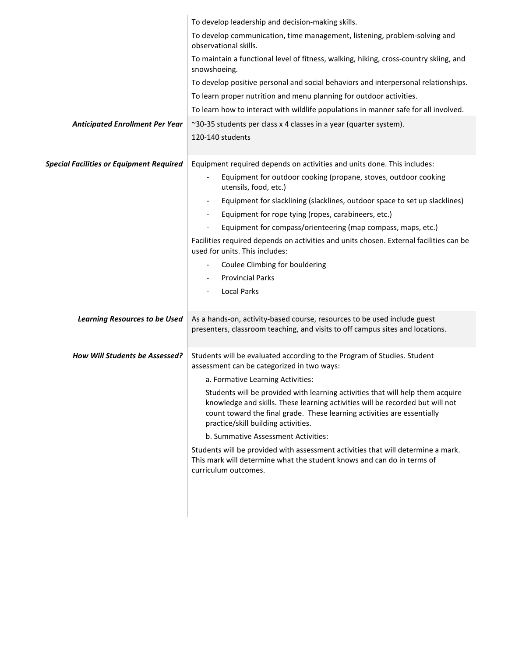|                                                 | To develop leadership and decision-making skills.                                                                                                                                                                                                                                 |
|-------------------------------------------------|-----------------------------------------------------------------------------------------------------------------------------------------------------------------------------------------------------------------------------------------------------------------------------------|
|                                                 | To develop communication, time management, listening, problem-solving and<br>observational skills.                                                                                                                                                                                |
|                                                 | To maintain a functional level of fitness, walking, hiking, cross-country skiing, and<br>snowshoeing.                                                                                                                                                                             |
|                                                 | To develop positive personal and social behaviors and interpersonal relationships.                                                                                                                                                                                                |
|                                                 | To learn proper nutrition and menu planning for outdoor activities.                                                                                                                                                                                                               |
|                                                 | To learn how to interact with wildlife populations in manner safe for all involved.                                                                                                                                                                                               |
| <b>Anticipated Enrollment Per Year</b>          | ~30-35 students per class x 4 classes in a year (quarter system).<br>120-140 students                                                                                                                                                                                             |
| <b>Special Facilities or Equipment Required</b> | Equipment required depends on activities and units done. This includes:                                                                                                                                                                                                           |
|                                                 | Equipment for outdoor cooking (propane, stoves, outdoor cooking<br>$\overline{\phantom{a}}$<br>utensils, food, etc.)                                                                                                                                                              |
|                                                 | Equipment for slacklining (slacklines, outdoor space to set up slacklines)                                                                                                                                                                                                        |
|                                                 | Equipment for rope tying (ropes, carabineers, etc.)                                                                                                                                                                                                                               |
|                                                 | Equipment for compass/orienteering (map compass, maps, etc.)<br>$\overline{\phantom{a}}$                                                                                                                                                                                          |
|                                                 | Facilities required depends on activities and units chosen. External facilities can be<br>used for units. This includes:                                                                                                                                                          |
|                                                 | Coulee Climbing for bouldering                                                                                                                                                                                                                                                    |
|                                                 | <b>Provincial Parks</b>                                                                                                                                                                                                                                                           |
|                                                 | <b>Local Parks</b>                                                                                                                                                                                                                                                                |
| <b>Learning Resources to be Used</b>            | As a hands-on, activity-based course, resources to be used include guest<br>presenters, classroom teaching, and visits to off campus sites and locations.                                                                                                                         |
| How Will Students be Assessed?                  | Students will be evaluated according to the Program of Studies. Student<br>assessment can be categorized in two ways:                                                                                                                                                             |
|                                                 | a. Formative Learning Activities:                                                                                                                                                                                                                                                 |
|                                                 | Students will be provided with learning activities that will help them acquire<br>knowledge and skills. These learning activities will be recorded but will not<br>count toward the final grade. These learning activities are essentially<br>practice/skill building activities. |
|                                                 | b. Summative Assessment Activities:                                                                                                                                                                                                                                               |
|                                                 | Students will be provided with assessment activities that will determine a mark.<br>This mark will determine what the student knows and can do in terms of<br>curriculum outcomes.                                                                                                |
|                                                 |                                                                                                                                                                                                                                                                                   |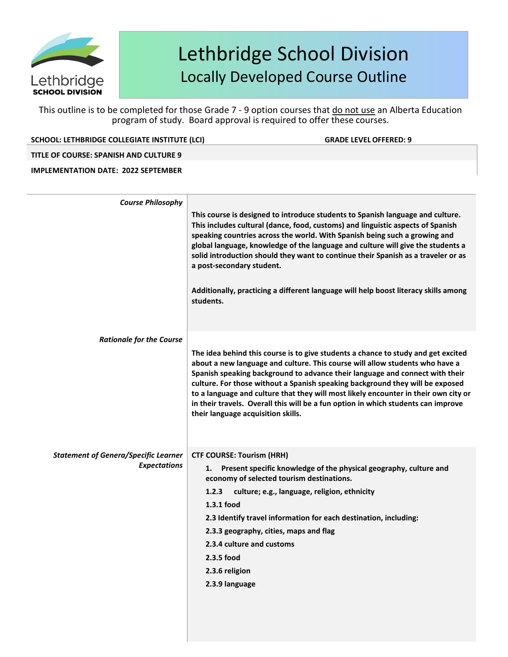

This outline is to be completed for those Grade 7 - 9 option courses that do not use an Alberta Education program of study. Board approval is required to offer these courses.

**SCHOOL: LETHBRIDGE COLLEGIATE INSTITUTE (LCI) GRADE LEVELOFFERED: 9**

### **TITLE OF COURSE: SPANISH AND CULTURE 9**

### **IMPLEMENTATION DATE: 2022 SEPTEMBER**

| <b>Course Philosophy</b>                    |                                                                                                                                                                                                                                                                                                                                                                                                                                                                                                                                                          |
|---------------------------------------------|----------------------------------------------------------------------------------------------------------------------------------------------------------------------------------------------------------------------------------------------------------------------------------------------------------------------------------------------------------------------------------------------------------------------------------------------------------------------------------------------------------------------------------------------------------|
|                                             | This course is designed to introduce students to Spanish language and culture.<br>This includes cultural (dance, food, customs) and linguistic aspects of Spanish<br>speaking countries across the world. With Spanish being such a growing and<br>global language, knowledge of the language and culture will give the students a<br>solid introduction should they want to continue their Spanish as a traveler or as<br>a post-secondary student.<br>Additionally, practicing a different language will help boost literacy skills among<br>students. |
| <b>Rationale for the Course</b>             |                                                                                                                                                                                                                                                                                                                                                                                                                                                                                                                                                          |
|                                             | The idea behind this course is to give students a chance to study and get excited<br>about a new language and culture. This course will allow students who have a<br>Spanish speaking background to advance their language and connect with their<br>culture. For those without a Spanish speaking background they will be exposed<br>to a language and culture that they will most likely encounter in their own city or<br>in their travels. Overall this will be a fun option in which students can improve<br>their language acquisition skills.     |
| <b>Statement of Genera/Specific Learner</b> | <b>CTF COURSE: Tourism (HRH)</b>                                                                                                                                                                                                                                                                                                                                                                                                                                                                                                                         |
| <b>Expectations</b>                         | Present specific knowledge of the physical geography, culture and<br>1.<br>economy of selected tourism destinations.<br>culture; e.g., language, religion, ethnicity<br>1.2.3<br>1.3.1 food<br>2.3 Identify travel information for each destination, including:<br>2.3.3 geography, cities, maps and flag<br>2.3.4 culture and customs<br>2.3.5 food<br>2.3.6 religion<br>2.3.9 language                                                                                                                                                                 |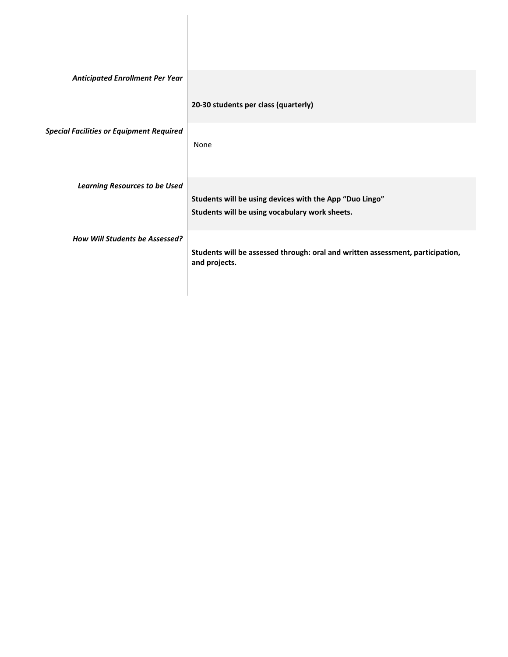| <b>Anticipated Enrollment Per Year</b>          |                                                                                                 |
|-------------------------------------------------|-------------------------------------------------------------------------------------------------|
|                                                 | 20-30 students per class (quarterly)                                                            |
| <b>Special Facilities or Equipment Required</b> | None                                                                                            |
| <b>Learning Resources to be Used</b>            | Students will be using devices with the App "Duo Lingo"                                         |
|                                                 | Students will be using vocabulary work sheets.                                                  |
| <b>How Will Students be Assessed?</b>           | Students will be assessed through: oral and written assessment, participation,<br>and projects. |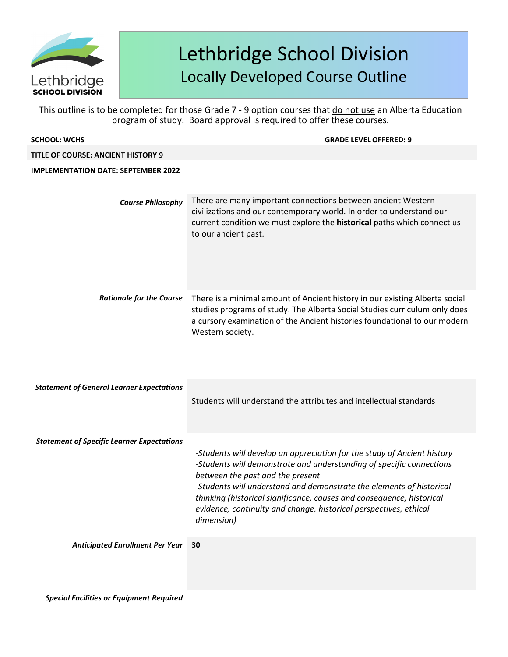

| <b>SCHOOL: WCHS</b>                               | <b>GRADE LEVEL OFFERED: 9</b>                                                                                                                                                                                                                                                                                                                                                                                           |
|---------------------------------------------------|-------------------------------------------------------------------------------------------------------------------------------------------------------------------------------------------------------------------------------------------------------------------------------------------------------------------------------------------------------------------------------------------------------------------------|
| <b>TITLE OF COURSE: ANCIENT HISTORY 9</b>         |                                                                                                                                                                                                                                                                                                                                                                                                                         |
| <b>IMPLEMENTATION DATE: SEPTEMBER 2022</b>        |                                                                                                                                                                                                                                                                                                                                                                                                                         |
| <b>Course Philosophy</b>                          | There are many important connections between ancient Western<br>civilizations and our contemporary world. In order to understand our<br>current condition we must explore the historical paths which connect us<br>to our ancient past.                                                                                                                                                                                 |
| <b>Rationale for the Course</b>                   | There is a minimal amount of Ancient history in our existing Alberta social<br>studies programs of study. The Alberta Social Studies curriculum only does<br>a cursory examination of the Ancient histories foundational to our modern<br>Western society.                                                                                                                                                              |
| <b>Statement of General Learner Expectations</b>  | Students will understand the attributes and intellectual standards                                                                                                                                                                                                                                                                                                                                                      |
| <b>Statement of Specific Learner Expectations</b> | -Students will develop an appreciation for the study of Ancient history<br>-Students will demonstrate and understanding of specific connections<br>between the past and the present<br>-Students will understand and demonstrate the elements of historical<br>thinking (historical significance, causes and consequence, historical<br>evidence, continuity and change, historical perspectives, ethical<br>dimension) |
| <b>Anticipated Enrollment Per Year</b>            | 30                                                                                                                                                                                                                                                                                                                                                                                                                      |
| <b>Special Facilities or Equipment Required</b>   |                                                                                                                                                                                                                                                                                                                                                                                                                         |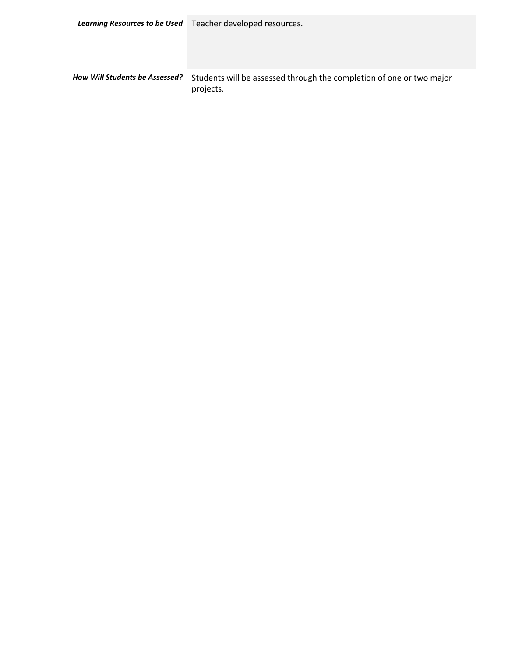|                                | Learning Resources to be Used   Teacher developed resources.                      |
|--------------------------------|-----------------------------------------------------------------------------------|
| How Will Students be Assessed? | Students will be assessed through the completion of one or two major<br>projects. |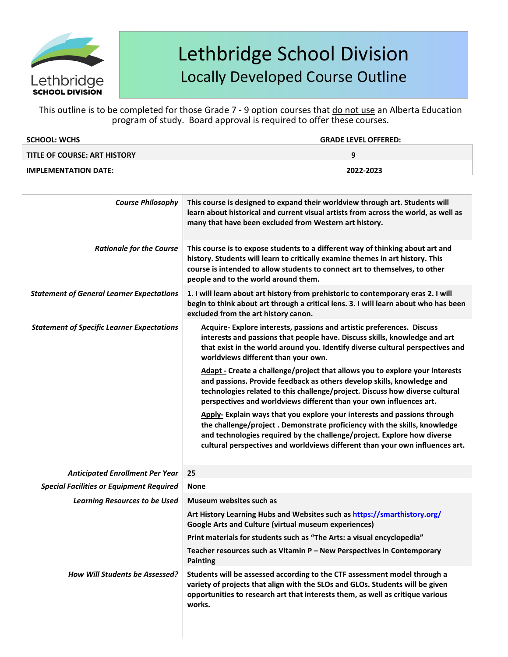

| <b>SCHOOL: WCHS</b>                 | <b>GRADE LEVEL OFFERED:</b> |
|-------------------------------------|-----------------------------|
| <b>TITLE OF COURSE: ART HISTORY</b> | q                           |
| <b>IMPLEMENTATION DATE:</b>         | 2022-2023                   |
|                                     |                             |

| <b>Course Philosophy</b>                          | This course is designed to expand their worldview through art. Students will<br>learn about historical and current visual artists from across the world, as well as<br>many that have been excluded from Western art history.                                                                                    |
|---------------------------------------------------|------------------------------------------------------------------------------------------------------------------------------------------------------------------------------------------------------------------------------------------------------------------------------------------------------------------|
| <b>Rationale for the Course</b>                   | This course is to expose students to a different way of thinking about art and<br>history. Students will learn to critically examine themes in art history. This<br>course is intended to allow students to connect art to themselves, to other<br>people and to the world around them.                          |
| <b>Statement of General Learner Expectations</b>  | 1. I will learn about art history from prehistoric to contemporary eras 2. I will<br>begin to think about art through a critical lens. 3. I will learn about who has been<br>excluded from the art history canon.                                                                                                |
| <b>Statement of Specific Learner Expectations</b> | Acquire-Explore interests, passions and artistic preferences. Discuss<br>interests and passions that people have. Discuss skills, knowledge and art<br>that exist in the world around you. Identify diverse cultural perspectives and<br>worldviews different than your own.                                     |
|                                                   | Adapt - Create a challenge/project that allows you to explore your interests<br>and passions. Provide feedback as others develop skills, knowledge and<br>technologies related to this challenge/project. Discuss how diverse cultural<br>perspectives and worldviews different than your own influences art.    |
|                                                   | Apply- Explain ways that you explore your interests and passions through<br>the challenge/project. Demonstrate proficiency with the skills, knowledge<br>and technologies required by the challenge/project. Explore how diverse<br>cultural perspectives and worldviews different than your own influences art. |
| <b>Anticipated Enrollment Per Year</b>            | 25                                                                                                                                                                                                                                                                                                               |
| <b>Special Facilities or Equipment Required</b>   | <b>None</b>                                                                                                                                                                                                                                                                                                      |
| <b>Learning Resources to be Used</b>              | Museum websites such as                                                                                                                                                                                                                                                                                          |
|                                                   | Art History Learning Hubs and Websites such as https://smarthistory.org/<br><b>Google Arts and Culture (virtual museum experiences)</b>                                                                                                                                                                          |
|                                                   | Print materials for students such as "The Arts: a visual encyclopedia"                                                                                                                                                                                                                                           |
|                                                   | Teacher resources such as Vitamin P - New Perspectives in Contemporary<br><b>Painting</b>                                                                                                                                                                                                                        |
| <b>How Will Students be Assessed?</b>             | Students will be assessed according to the CTF assessment model through a<br>variety of projects that align with the SLOs and GLOs. Students will be given<br>opportunities to research art that interests them, as well as critique various<br>works.                                                           |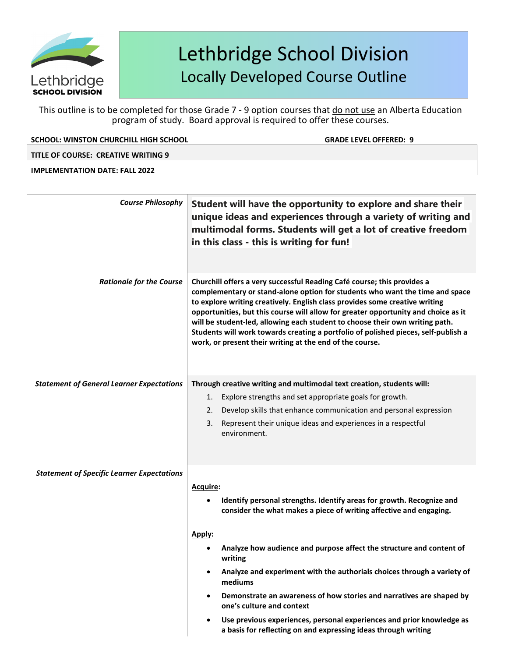

This outline is to be completed for those Grade 7 - 9 option courses that do not use an Alberta Education program of study. Board approval is required to offer these courses.

|  | SCHOOL: WINSTON CHURCHILL HIGH SCHOOL |  |
|--|---------------------------------------|--|
|  |                                       |  |

**GRADE LEVEL OFFERED: 9** 

### **TITLE OF COURSE: CREATIVE WRITING 9**

### **IMPLEMENTATION DATE: FALL 2022**

| <b>Course Philosophy</b>                          | Student will have the opportunity to explore and share their<br>unique ideas and experiences through a variety of writing and<br>multimodal forms. Students will get a lot of creative freedom<br>in this class - this is writing for fun!                                                                                                                                                                                                                                                                                                                     |
|---------------------------------------------------|----------------------------------------------------------------------------------------------------------------------------------------------------------------------------------------------------------------------------------------------------------------------------------------------------------------------------------------------------------------------------------------------------------------------------------------------------------------------------------------------------------------------------------------------------------------|
| <b>Rationale for the Course</b>                   | Churchill offers a very successful Reading Café course; this provides a<br>complementary or stand-alone option for students who want the time and space<br>to explore writing creatively. English class provides some creative writing<br>opportunities, but this course will allow for greater opportunity and choice as it<br>will be student-led, allowing each student to choose their own writing path.<br>Students will work towards creating a portfolio of polished pieces, self-publish a<br>work, or present their writing at the end of the course. |
| <b>Statement of General Learner Expectations</b>  | Through creative writing and multimodal text creation, students will:                                                                                                                                                                                                                                                                                                                                                                                                                                                                                          |
|                                                   | Explore strengths and set appropriate goals for growth.<br>1.<br>Develop skills that enhance communication and personal expression<br>2.                                                                                                                                                                                                                                                                                                                                                                                                                       |
|                                                   | Represent their unique ideas and experiences in a respectful<br>3.                                                                                                                                                                                                                                                                                                                                                                                                                                                                                             |
|                                                   | environment.                                                                                                                                                                                                                                                                                                                                                                                                                                                                                                                                                   |
| <b>Statement of Specific Learner Expectations</b> |                                                                                                                                                                                                                                                                                                                                                                                                                                                                                                                                                                |
|                                                   | Acquire:                                                                                                                                                                                                                                                                                                                                                                                                                                                                                                                                                       |
|                                                   | Identify personal strengths. Identify areas for growth. Recognize and<br>consider the what makes a piece of writing affective and engaging.                                                                                                                                                                                                                                                                                                                                                                                                                    |
|                                                   | Apply:                                                                                                                                                                                                                                                                                                                                                                                                                                                                                                                                                         |
|                                                   | Analyze how audience and purpose affect the structure and content of<br>writing                                                                                                                                                                                                                                                                                                                                                                                                                                                                                |
|                                                   | Analyze and experiment with the authorials choices through a variety of<br>٠<br>mediums                                                                                                                                                                                                                                                                                                                                                                                                                                                                        |
|                                                   | Demonstrate an awareness of how stories and narratives are shaped by<br>one's culture and context                                                                                                                                                                                                                                                                                                                                                                                                                                                              |
|                                                   | Use previous experiences, personal experiences and prior knowledge as<br>a basis for reflecting on and expressing ideas through writing                                                                                                                                                                                                                                                                                                                                                                                                                        |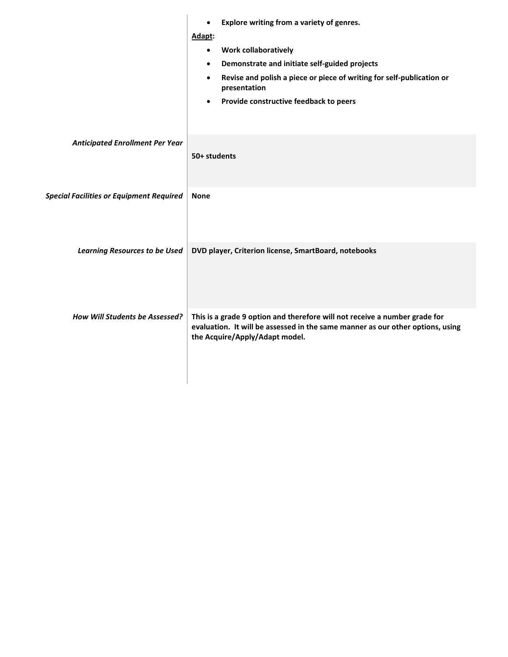|                                                 | Explore writing from a variety of genres.<br>$\bullet$                                                                                                                                         |
|-------------------------------------------------|------------------------------------------------------------------------------------------------------------------------------------------------------------------------------------------------|
|                                                 | Adapt:                                                                                                                                                                                         |
|                                                 | <b>Work collaboratively</b><br>$\bullet$                                                                                                                                                       |
|                                                 | Demonstrate and initiate self-guided projects<br>$\bullet$                                                                                                                                     |
|                                                 | Revise and polish a piece or piece of writing for self-publication or<br>$\bullet$<br>presentation                                                                                             |
|                                                 | Provide constructive feedback to peers<br>٠                                                                                                                                                    |
|                                                 |                                                                                                                                                                                                |
| <b>Anticipated Enrollment Per Year</b>          | 50+ students                                                                                                                                                                                   |
| <b>Special Facilities or Equipment Required</b> | <b>None</b>                                                                                                                                                                                    |
|                                                 |                                                                                                                                                                                                |
| <b>Learning Resources to be Used</b>            | DVD player, Criterion license, SmartBoard, notebooks                                                                                                                                           |
| How Will Students be Assessed?                  | This is a grade 9 option and therefore will not receive a number grade for<br>evaluation. It will be assessed in the same manner as our other options, using<br>the Acquire/Apply/Adapt model. |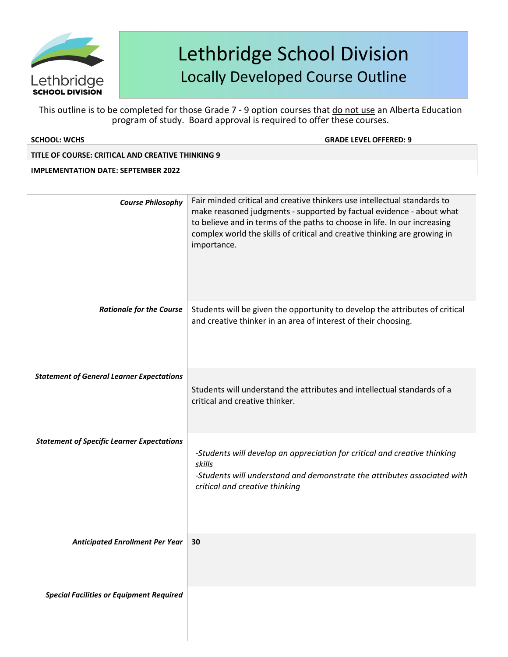

| <b>SCHOOL: WCHS</b>                               | <b>GRADE LEVEL OFFERED: 9</b>                                                                                                                                                                                                                                                                                             |
|---------------------------------------------------|---------------------------------------------------------------------------------------------------------------------------------------------------------------------------------------------------------------------------------------------------------------------------------------------------------------------------|
| TITLE OF COURSE: CRITICAL AND CREATIVE THINKING 9 |                                                                                                                                                                                                                                                                                                                           |
| <b>IMPLEMENTATION DATE: SEPTEMBER 2022</b>        |                                                                                                                                                                                                                                                                                                                           |
| <b>Course Philosophy</b>                          | Fair minded critical and creative thinkers use intellectual standards to<br>make reasoned judgments - supported by factual evidence - about what<br>to believe and in terms of the paths to choose in life. In our increasing<br>complex world the skills of critical and creative thinking are growing in<br>importance. |
| <b>Rationale for the Course</b>                   | Students will be given the opportunity to develop the attributes of critical<br>and creative thinker in an area of interest of their choosing.                                                                                                                                                                            |
| <b>Statement of General Learner Expectations</b>  | Students will understand the attributes and intellectual standards of a<br>critical and creative thinker.                                                                                                                                                                                                                 |
| <b>Statement of Specific Learner Expectations</b> | -Students will develop an appreciation for critical and creative thinking<br>skills<br>-Students will understand and demonstrate the attributes associated with<br>critical and creative thinking                                                                                                                         |
| <b>Anticipated Enrollment Per Year</b>            | 30                                                                                                                                                                                                                                                                                                                        |
| <b>Special Facilities or Equipment Required</b>   |                                                                                                                                                                                                                                                                                                                           |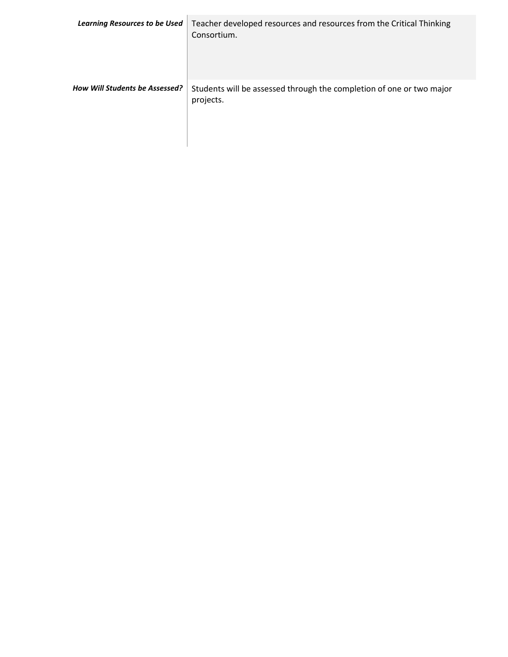| <b>Learning Resources to be Used</b> | Teacher developed resources and resources from the Critical Thinking<br>Consortium. |
|--------------------------------------|-------------------------------------------------------------------------------------|
| How Will Students be Assessed?       | Students will be assessed through the completion of one or two major<br>projects.   |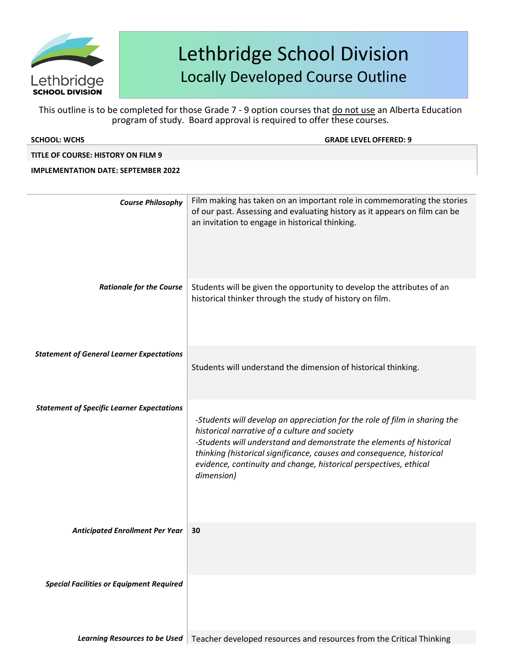

| <b>SCHOOL: WCHS</b>                               | <b>GRADE LEVEL OFFERED: 9</b>                                                                                                                                                                                                                                                                                                                                   |
|---------------------------------------------------|-----------------------------------------------------------------------------------------------------------------------------------------------------------------------------------------------------------------------------------------------------------------------------------------------------------------------------------------------------------------|
| TITLE OF COURSE: HISTORY ON FILM 9                |                                                                                                                                                                                                                                                                                                                                                                 |
| <b>IMPLEMENTATION DATE: SEPTEMBER 2022</b>        |                                                                                                                                                                                                                                                                                                                                                                 |
|                                                   |                                                                                                                                                                                                                                                                                                                                                                 |
| <b>Course Philosophy</b>                          | Film making has taken on an important role in commemorating the stories<br>of our past. Assessing and evaluating history as it appears on film can be<br>an invitation to engage in historical thinking.                                                                                                                                                        |
| <b>Rationale for the Course</b>                   | Students will be given the opportunity to develop the attributes of an<br>historical thinker through the study of history on film.                                                                                                                                                                                                                              |
| <b>Statement of General Learner Expectations</b>  | Students will understand the dimension of historical thinking.                                                                                                                                                                                                                                                                                                  |
| <b>Statement of Specific Learner Expectations</b> | -Students will develop an appreciation for the role of film in sharing the<br>historical narrative of a culture and society<br>-Students will understand and demonstrate the elements of historical<br>thinking (historical significance, causes and consequence, historical<br>evidence, continuity and change, historical perspectives, ethical<br>dimension) |
| <b>Anticipated Enrollment Per Year</b>            | 30                                                                                                                                                                                                                                                                                                                                                              |
| <b>Special Facilities or Equipment Required</b>   |                                                                                                                                                                                                                                                                                                                                                                 |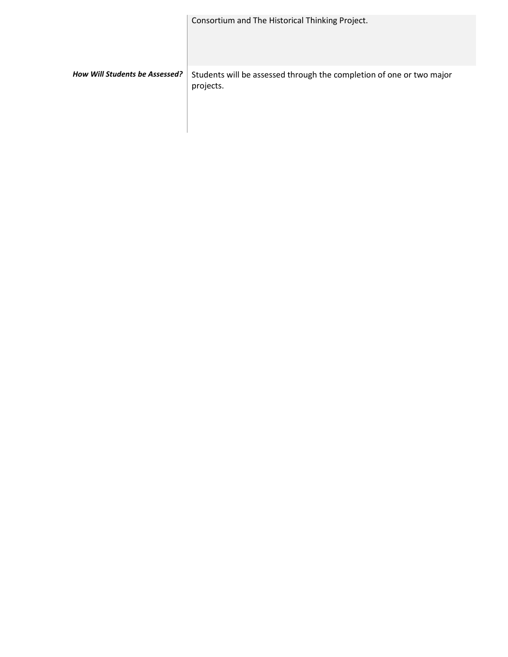|                                       | Consortium and The Historical Thinking Project.                                   |
|---------------------------------------|-----------------------------------------------------------------------------------|
| <b>How Will Students be Assessed?</b> | Students will be assessed through the completion of one or two major<br>projects. |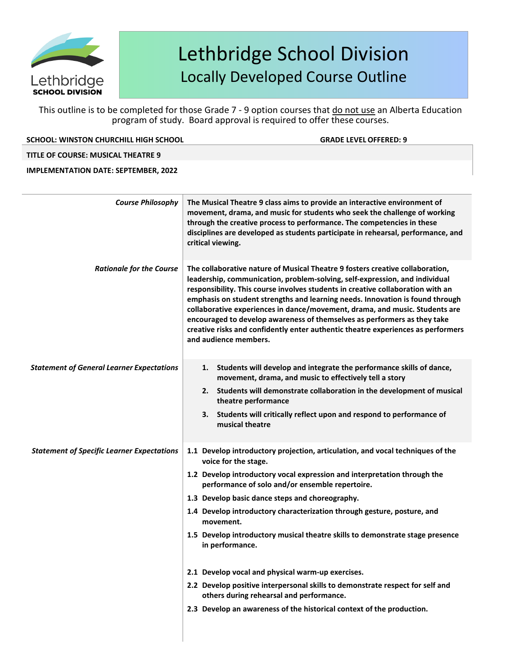

This outline is to be completed for those Grade 7 - 9 option courses that do not use an Alberta Education program of study. Board approval is required to offer these courses.

**SCHOOL: WINSTON CHURCHILL HIGH SCHOOL GRADE LEVELOFFERED: 9**

### **TITLE OF COURSE: MUSICAL THEATRE 9**

**IMPLEMENTATION DATE: SEPTEMBER, 2022**

| <b>Course Philosophy</b>                          | The Musical Theatre 9 class aims to provide an interactive environment of<br>movement, drama, and music for students who seek the challenge of working<br>through the creative process to performance. The competencies in these<br>disciplines are developed as students participate in rehearsal, performance, and<br>critical viewing.                                                                                                                                                                                                                                                                                                                                                                                                       |
|---------------------------------------------------|-------------------------------------------------------------------------------------------------------------------------------------------------------------------------------------------------------------------------------------------------------------------------------------------------------------------------------------------------------------------------------------------------------------------------------------------------------------------------------------------------------------------------------------------------------------------------------------------------------------------------------------------------------------------------------------------------------------------------------------------------|
| <b>Rationale for the Course</b>                   | The collaborative nature of Musical Theatre 9 fosters creative collaboration,<br>leadership, communication, problem-solving, self-expression, and individual<br>responsibility. This course involves students in creative collaboration with an<br>emphasis on student strengths and learning needs. Innovation is found through<br>collaborative experiences in dance/movement, drama, and music. Students are<br>encouraged to develop awareness of themselves as performers as they take<br>creative risks and confidently enter authentic theatre experiences as performers<br>and audience members.                                                                                                                                        |
| <b>Statement of General Learner Expectations</b>  | Students will develop and integrate the performance skills of dance,<br>1.<br>movement, drama, and music to effectively tell a story<br>2. Students will demonstrate collaboration in the development of musical<br>theatre performance<br>3. Students will critically reflect upon and respond to performance of<br>musical theatre                                                                                                                                                                                                                                                                                                                                                                                                            |
| <b>Statement of Specific Learner Expectations</b> | 1.1 Develop introductory projection, articulation, and vocal techniques of the<br>voice for the stage.<br>1.2 Develop introductory vocal expression and interpretation through the<br>performance of solo and/or ensemble repertoire.<br>1.3 Develop basic dance steps and choreography.<br>1.4 Develop introductory characterization through gesture, posture, and<br>movement.<br>1.5 Develop introductory musical theatre skills to demonstrate stage presence<br>in performance.<br>2.1 Develop vocal and physical warm-up exercises.<br>2.2 Develop positive interpersonal skills to demonstrate respect for self and<br>others during rehearsal and performance.<br>2.3 Develop an awareness of the historical context of the production. |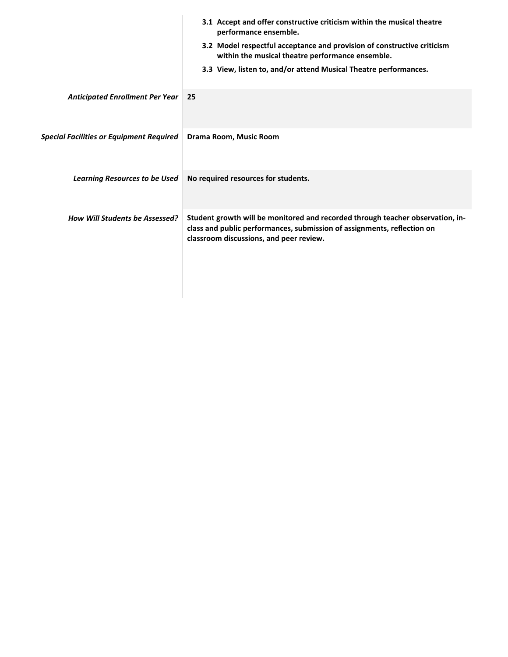|                                                 | 3.1 Accept and offer constructive criticism within the musical theatre<br>performance ensemble.                                                                                                      |
|-------------------------------------------------|------------------------------------------------------------------------------------------------------------------------------------------------------------------------------------------------------|
|                                                 | 3.2 Model respectful acceptance and provision of constructive criticism<br>within the musical theatre performance ensemble.                                                                          |
|                                                 | 3.3 View, listen to, and/or attend Musical Theatre performances.                                                                                                                                     |
| <b>Anticipated Enrollment Per Year</b>          | 25                                                                                                                                                                                                   |
| <b>Special Facilities or Equipment Required</b> | Drama Room, Music Room                                                                                                                                                                               |
| <b>Learning Resources to be Used</b>            | No required resources for students.                                                                                                                                                                  |
| <b>How Will Students be Assessed?</b>           | Student growth will be monitored and recorded through teacher observation, in-<br>class and public performances, submission of assignments, reflection on<br>classroom discussions, and peer review. |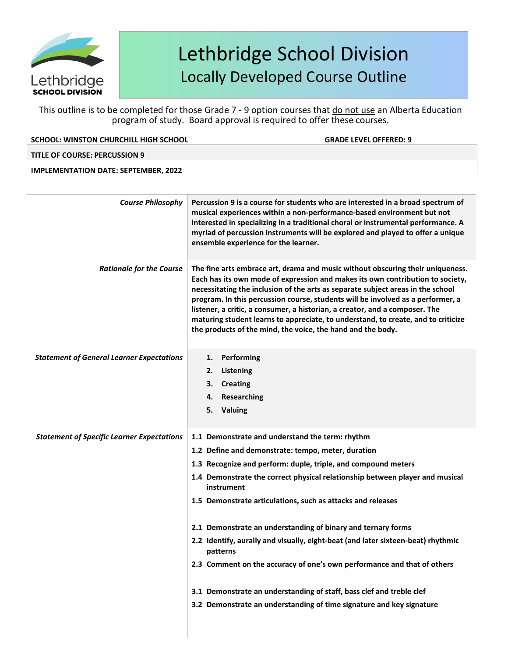

This outline is to be completed for those Grade 7 - 9 option courses that do not use an Alberta Education program of study. Board approval is required to offer these courses.

**SCHOOL: WINSTON CHURCHILL HIGH SCHOOL GRADE LEVELOFFERED: 9**

### **TITLE OF COURSE: PERCUSSION 9**

### **IMPLEMENTATION DATE: SEPTEMBER, 2022**

| <b>Course Philosophy</b>                          | Percussion 9 is a course for students who are interested in a broad spectrum of<br>musical experiences within a non-performance-based environment but not<br>interested in specializing in a traditional choral or instrumental performance. A<br>myriad of percussion instruments will be explored and played to offer a unique<br>ensemble experience for the learner.                                                                                                                                                                                                                                                                                                                                                       |
|---------------------------------------------------|--------------------------------------------------------------------------------------------------------------------------------------------------------------------------------------------------------------------------------------------------------------------------------------------------------------------------------------------------------------------------------------------------------------------------------------------------------------------------------------------------------------------------------------------------------------------------------------------------------------------------------------------------------------------------------------------------------------------------------|
| <b>Rationale for the Course</b>                   | The fine arts embrace art, drama and music without obscuring their uniqueness.<br>Each has its own mode of expression and makes its own contribution to society,<br>necessitating the inclusion of the arts as separate subject areas in the school<br>program. In this percussion course, students will be involved as a performer, a<br>listener, a critic, a consumer, a historian, a creator, and a composer. The<br>maturing student learns to appreciate, to understand, to create, and to criticize<br>the products of the mind, the voice, the hand and the body.                                                                                                                                                      |
| <b>Statement of General Learner Expectations</b>  | 1. Performing<br>2. Listening<br>3.<br><b>Creating</b><br>Researching<br>4.<br>5. Valuing                                                                                                                                                                                                                                                                                                                                                                                                                                                                                                                                                                                                                                      |
| <b>Statement of Specific Learner Expectations</b> | 1.1 Demonstrate and understand the term: rhythm<br>1.2 Define and demonstrate: tempo, meter, duration<br>1.3 Recognize and perform: duple, triple, and compound meters<br>1.4 Demonstrate the correct physical relationship between player and musical<br>instrument<br>1.5 Demonstrate articulations, such as attacks and releases<br>2.1 Demonstrate an understanding of binary and ternary forms<br>2.2 Identify, aurally and visually, eight-beat (and later sixteen-beat) rhythmic<br>patterns<br>2.3 Comment on the accuracy of one's own performance and that of others<br>3.1 Demonstrate an understanding of staff, bass clef and treble clef<br>3.2 Demonstrate an understanding of time signature and key signature |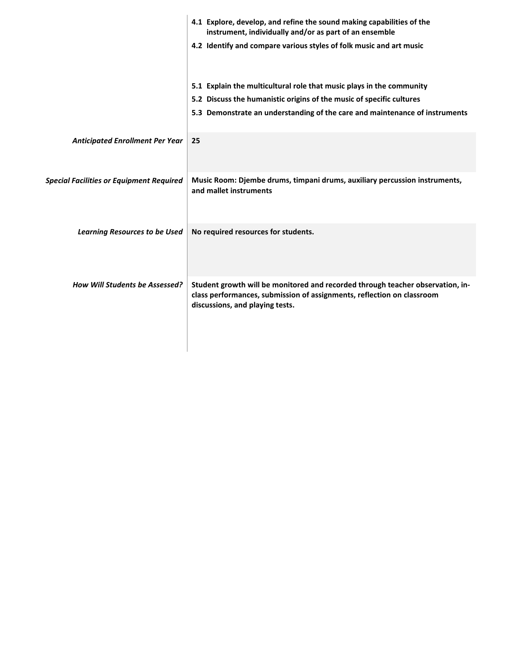|                                                 | 4.1 Explore, develop, and refine the sound making capabilities of the<br>instrument, individually and/or as part of an ensemble                                                             |
|-------------------------------------------------|---------------------------------------------------------------------------------------------------------------------------------------------------------------------------------------------|
|                                                 | 4.2 Identify and compare various styles of folk music and art music                                                                                                                         |
|                                                 | 5.1 Explain the multicultural role that music plays in the community                                                                                                                        |
|                                                 | 5.2 Discuss the humanistic origins of the music of specific cultures                                                                                                                        |
|                                                 | 5.3 Demonstrate an understanding of the care and maintenance of instruments                                                                                                                 |
| <b>Anticipated Enrollment Per Year</b>          | 25                                                                                                                                                                                          |
| <b>Special Facilities or Equipment Required</b> | Music Room: Djembe drums, timpani drums, auxiliary percussion instruments,<br>and mallet instruments                                                                                        |
| <b>Learning Resources to be Used</b>            | No required resources for students.                                                                                                                                                         |
| <b>How Will Students be Assessed?</b>           | Student growth will be monitored and recorded through teacher observation, in-<br>class performances, submission of assignments, reflection on classroom<br>discussions, and playing tests. |
|                                                 |                                                                                                                                                                                             |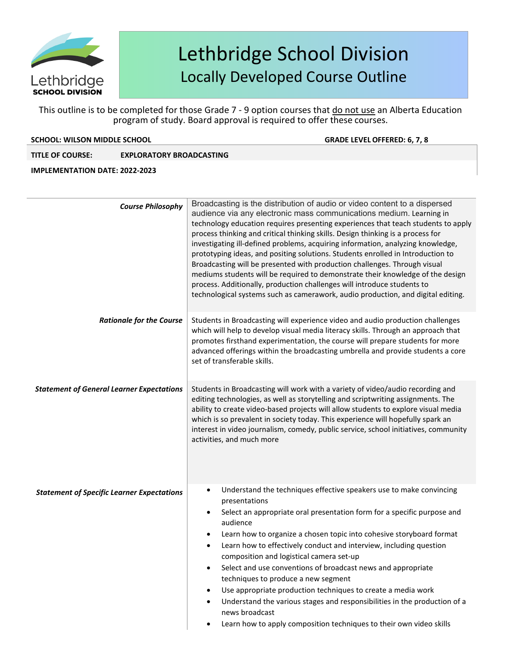

This outline is to be completed for those Grade 7 - 9 option courses that do not use an Alberta Education program of study. Board approval is required to offer these courses.

### **SCHOOL: WILSON MIDDLE SCHOOL GRADE LEVELOFFERED: 6, 7, 8**

### **TITLE OF COURSE: EXPLORATORY BROADCASTING**

### **IMPLEMENTATION DATE: 2022-2023**

| <b>Course Philosophy</b>                          | Broadcasting is the distribution of audio or video content to a dispersed<br>audience via any electronic mass communications medium. Learning in<br>technology education requires presenting experiences that teach students to apply<br>process thinking and critical thinking skills. Design thinking is a process for<br>investigating ill-defined problems, acquiring information, analyzing knowledge,<br>prototyping ideas, and positing solutions. Students enrolled in Introduction to<br>Broadcasting will be presented with production challenges. Through visual<br>mediums students will be required to demonstrate their knowledge of the design<br>process. Additionally, production challenges will introduce students to<br>technological systems such as camerawork, audio production, and digital editing. |
|---------------------------------------------------|------------------------------------------------------------------------------------------------------------------------------------------------------------------------------------------------------------------------------------------------------------------------------------------------------------------------------------------------------------------------------------------------------------------------------------------------------------------------------------------------------------------------------------------------------------------------------------------------------------------------------------------------------------------------------------------------------------------------------------------------------------------------------------------------------------------------------|
| <b>Rationale for the Course</b>                   | Students in Broadcasting will experience video and audio production challenges<br>which will help to develop visual media literacy skills. Through an approach that<br>promotes firsthand experimentation, the course will prepare students for more<br>advanced offerings within the broadcasting umbrella and provide students a core<br>set of transferable skills.                                                                                                                                                                                                                                                                                                                                                                                                                                                       |
| <b>Statement of General Learner Expectations</b>  | Students in Broadcasting will work with a variety of video/audio recording and<br>editing technologies, as well as storytelling and scriptwriting assignments. The<br>ability to create video-based projects will allow students to explore visual media<br>which is so prevalent in society today. This experience will hopefully spark an<br>interest in video journalism, comedy, public service, school initiatives, community<br>activities, and much more                                                                                                                                                                                                                                                                                                                                                              |
| <b>Statement of Specific Learner Expectations</b> | Understand the techniques effective speakers use to make convincing<br>$\bullet$<br>presentations<br>Select an appropriate oral presentation form for a specific purpose and<br>$\bullet$<br>audience<br>Learn how to organize a chosen topic into cohesive storyboard format<br>$\bullet$<br>Learn how to effectively conduct and interview, including question<br>$\bullet$<br>composition and logistical camera set-up<br>Select and use conventions of broadcast news and appropriate<br>techniques to produce a new segment<br>Use appropriate production techniques to create a media work<br>$\bullet$<br>Understand the various stages and responsibilities in the production of a<br>$\bullet$<br>news broadcast<br>Learn how to apply composition techniques to their own video skills<br>$\bullet$                |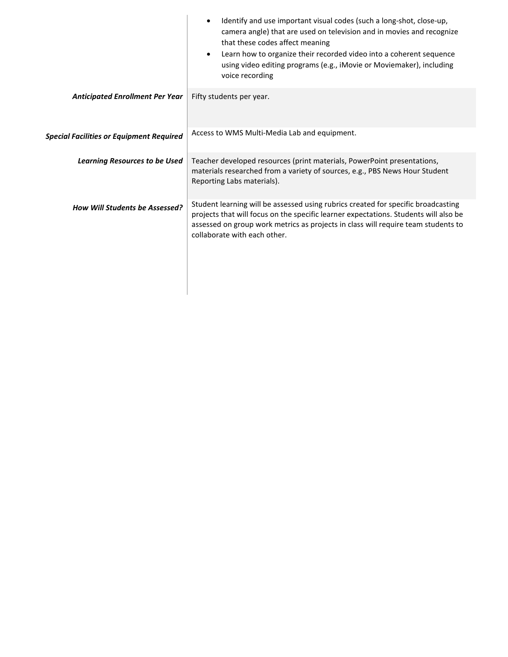|                                                 | Identify and use important visual codes (such a long-shot, close-up,<br>$\bullet$<br>camera angle) that are used on television and in movies and recognize<br>that these codes affect meaning<br>Learn how to organize their recorded video into a coherent sequence<br>$\bullet$<br>using video editing programs (e.g., iMovie or Moviemaker), including<br>voice recording |
|-------------------------------------------------|------------------------------------------------------------------------------------------------------------------------------------------------------------------------------------------------------------------------------------------------------------------------------------------------------------------------------------------------------------------------------|
| <b>Anticipated Enrollment Per Year</b>          | Fifty students per year.                                                                                                                                                                                                                                                                                                                                                     |
| <b>Special Facilities or Equipment Required</b> | Access to WMS Multi-Media Lab and equipment.                                                                                                                                                                                                                                                                                                                                 |
| <b>Learning Resources to be Used</b>            | Teacher developed resources (print materials, PowerPoint presentations,<br>materials researched from a variety of sources, e.g., PBS News Hour Student<br>Reporting Labs materials).                                                                                                                                                                                         |
| <b>How Will Students be Assessed?</b>           | Student learning will be assessed using rubrics created for specific broadcasting<br>projects that will focus on the specific learner expectations. Students will also be<br>assessed on group work metrics as projects in class will require team students to<br>collaborate with each other.                                                                               |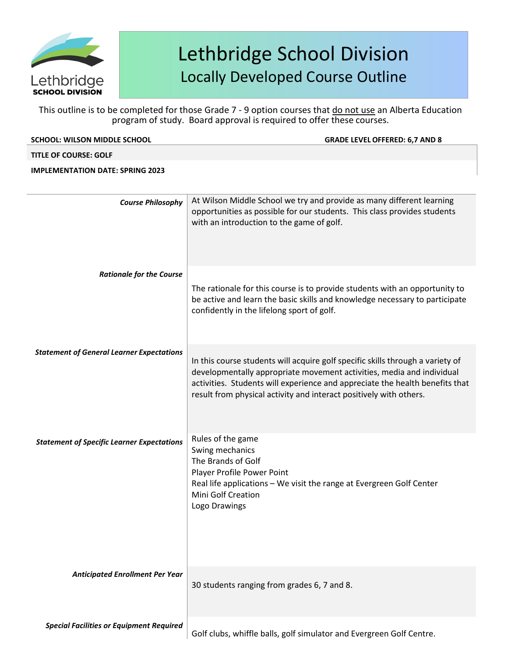

This outline is to be completed for those Grade 7 - 9 option courses that do not use an Alberta Education program of study. Board approval is required to offer these courses.

| <b>SCHOOL: WILSON MIDDLE SCHOOL</b>               | <b>GRADE LEVEL OFFERED: 6,7 AND 8</b>                                                                                                                                                                                                                                                                         |
|---------------------------------------------------|---------------------------------------------------------------------------------------------------------------------------------------------------------------------------------------------------------------------------------------------------------------------------------------------------------------|
| <b>TITLE OF COURSE: GOLF</b>                      |                                                                                                                                                                                                                                                                                                               |
| <b>IMPLEMENTATION DATE: SPRING 2023</b>           |                                                                                                                                                                                                                                                                                                               |
|                                                   |                                                                                                                                                                                                                                                                                                               |
| <b>Course Philosophy</b>                          | At Wilson Middle School we try and provide as many different learning<br>opportunities as possible for our students. This class provides students<br>with an introduction to the game of golf.                                                                                                                |
| <b>Rationale for the Course</b>                   | The rationale for this course is to provide students with an opportunity to<br>be active and learn the basic skills and knowledge necessary to participate<br>confidently in the lifelong sport of golf.                                                                                                      |
| <b>Statement of General Learner Expectations</b>  | In this course students will acquire golf specific skills through a variety of<br>developmentally appropriate movement activities, media and individual<br>activities. Students will experience and appreciate the health benefits that<br>result from physical activity and interact positively with others. |
| <b>Statement of Specific Learner Expectations</b> | Rules of the game<br>Swing mechanics<br>The Brands of Golf<br>Player Profile Power Point<br>Real life applications - We visit the range at Evergreen Golf Center<br>Mini Golf Creation<br>Logo Drawings                                                                                                       |

*Anticipated Enrollment Per Year*

30 students ranging from grades 6, 7 and 8.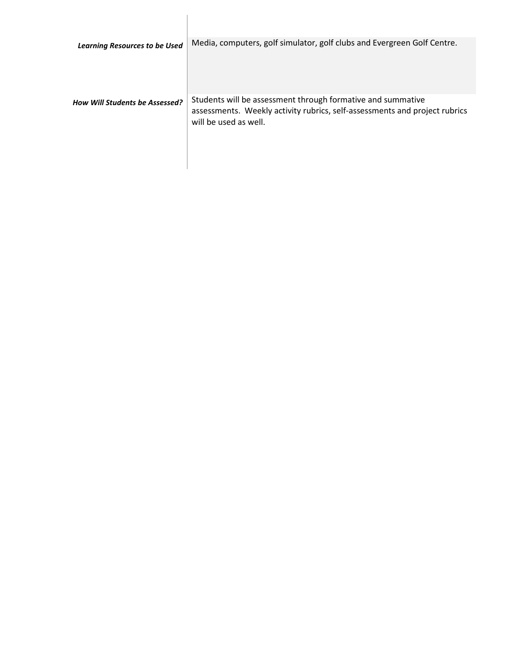| <b>Learning Resources to be Used</b>  | Media, computers, golf simulator, golf clubs and Evergreen Golf Centre.                                                                                            |
|---------------------------------------|--------------------------------------------------------------------------------------------------------------------------------------------------------------------|
| <b>How Will Students be Assessed?</b> | Students will be assessment through formative and summative<br>assessments. Weekly activity rubrics, self-assessments and project rubrics<br>will be used as well. |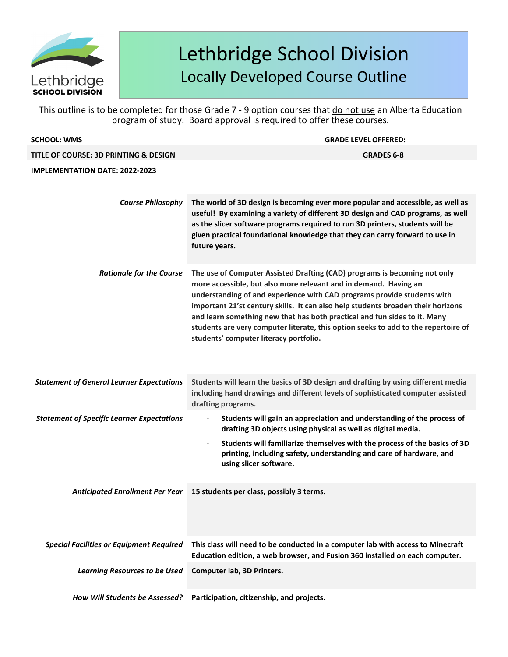

This outline is to be completed for those Grade 7 - 9 option courses that do not use an Alberta Education program of study. Board approval is required to offer these courses.

|                                                   | program or staay. Doard approval is required to oner these courses.                                                                                                                                                                                                                                                                                                                                                                                                                                                       |
|---------------------------------------------------|---------------------------------------------------------------------------------------------------------------------------------------------------------------------------------------------------------------------------------------------------------------------------------------------------------------------------------------------------------------------------------------------------------------------------------------------------------------------------------------------------------------------------|
| <b>SCHOOL: WMS</b>                                | <b>GRADE LEVEL OFFERED:</b>                                                                                                                                                                                                                                                                                                                                                                                                                                                                                               |
| TITLE OF COURSE: 3D PRINTING & DESIGN             | <b>GRADES 6-8</b>                                                                                                                                                                                                                                                                                                                                                                                                                                                                                                         |
| <b>IMPLEMENTATION DATE: 2022-2023</b>             |                                                                                                                                                                                                                                                                                                                                                                                                                                                                                                                           |
|                                                   |                                                                                                                                                                                                                                                                                                                                                                                                                                                                                                                           |
| <b>Course Philosophy</b>                          | The world of 3D design is becoming ever more popular and accessible, as well as<br>useful! By examining a variety of different 3D design and CAD programs, as well<br>as the slicer software programs required to run 3D printers, students will be<br>given practical foundational knowledge that they can carry forward to use in<br>future years.                                                                                                                                                                      |
| <b>Rationale for the Course</b>                   | The use of Computer Assisted Drafting (CAD) programs is becoming not only<br>more accessible, but also more relevant and in demand. Having an<br>understanding of and experience with CAD programs provide students with<br>important 21'st century skills. It can also help students broaden their horizons<br>and learn something new that has both practical and fun sides to it. Many<br>students are very computer literate, this option seeks to add to the repertoire of<br>students' computer literacy portfolio. |
| <b>Statement of General Learner Expectations</b>  | Students will learn the basics of 3D design and drafting by using different media<br>including hand drawings and different levels of sophisticated computer assisted<br>drafting programs.                                                                                                                                                                                                                                                                                                                                |
| <b>Statement of Specific Learner Expectations</b> | Students will gain an appreciation and understanding of the process of<br>drafting 3D objects using physical as well as digital media.                                                                                                                                                                                                                                                                                                                                                                                    |
|                                                   | Students will familiarize themselves with the process of the basics of 3D<br>printing, including safety, understanding and care of hardware, and<br>using slicer software.                                                                                                                                                                                                                                                                                                                                                |
|                                                   | Anticipated Enrollment Per Year   15 students per class, possibly 3 terms.                                                                                                                                                                                                                                                                                                                                                                                                                                                |
| <b>Special Facilities or Equipment Required</b>   | This class will need to be conducted in a computer lab with access to Minecraft<br>Education edition, a web browser, and Fusion 360 installed on each computer.                                                                                                                                                                                                                                                                                                                                                           |
| <b>Learning Resources to be Used</b>              | Computer lab, 3D Printers.                                                                                                                                                                                                                                                                                                                                                                                                                                                                                                |

*How Will Students be Assessed?* **Participation, citizenship, and projects.**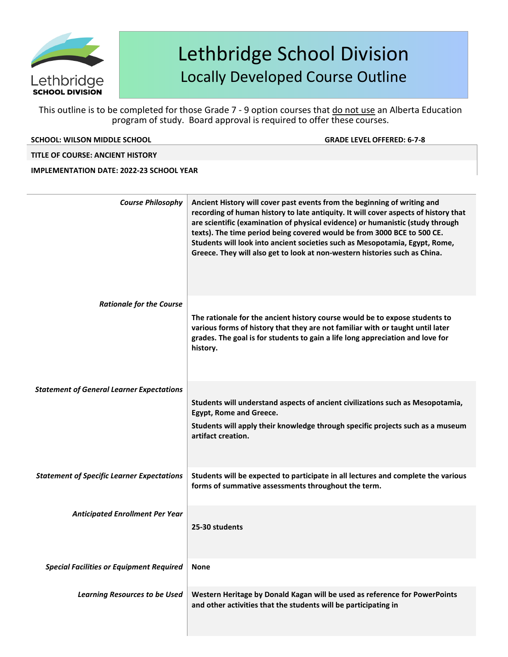

This outline is to be completed for those Grade 7 - 9 option courses that do not use an Alberta Education program of study. Board approval is required to offer these courses.

### **SCHOOL: WILSON MIDDLE SCHOOL GRADE LEVELOFFERED: 6-7-8**

### **TITLE OF COURSE: ANCIENT HISTORY**

### **IMPLEMENTATION DATE: 2022-23 SCHOOL YEAR**

| <b>Course Philosophy</b>                          | Ancient History will cover past events from the beginning of writing and<br>recording of human history to late antiquity. It will cover aspects of history that<br>are scientific (examination of physical evidence) or humanistic (study through<br>texts). The time period being covered would be from 3000 BCE to 500 CE.<br>Students will look into ancient societies such as Mesopotamia, Egypt, Rome,<br>Greece. They will also get to look at non-western histories such as China. |
|---------------------------------------------------|-------------------------------------------------------------------------------------------------------------------------------------------------------------------------------------------------------------------------------------------------------------------------------------------------------------------------------------------------------------------------------------------------------------------------------------------------------------------------------------------|
| <b>Rationale for the Course</b>                   | The rationale for the ancient history course would be to expose students to<br>various forms of history that they are not familiar with or taught until later<br>grades. The goal is for students to gain a life long appreciation and love for<br>history.                                                                                                                                                                                                                               |
| <b>Statement of General Learner Expectations</b>  | Students will understand aspects of ancient civilizations such as Mesopotamia,<br><b>Egypt, Rome and Greece.</b><br>Students will apply their knowledge through specific projects such as a museum<br>artifact creation.                                                                                                                                                                                                                                                                  |
| <b>Statement of Specific Learner Expectations</b> | Students will be expected to participate in all lectures and complete the various<br>forms of summative assessments throughout the term.                                                                                                                                                                                                                                                                                                                                                  |
| <b>Anticipated Enrollment Per Year</b>            | 25-30 students                                                                                                                                                                                                                                                                                                                                                                                                                                                                            |
| <b>Special Facilities or Equipment Required</b>   | <b>None</b>                                                                                                                                                                                                                                                                                                                                                                                                                                                                               |
| <b>Learning Resources to be Used</b>              | Western Heritage by Donald Kagan will be used as reference for PowerPoints<br>and other activities that the students will be participating in                                                                                                                                                                                                                                                                                                                                             |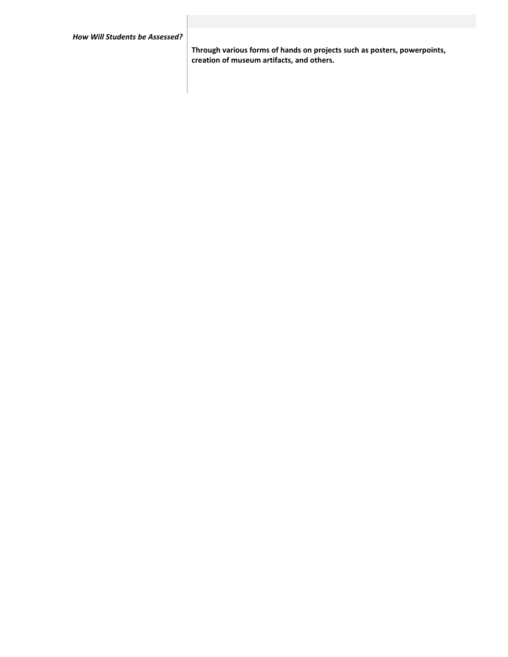**Through various forms of hands on projects such as posters, powerpoints, creation of museum artifacts, and others.**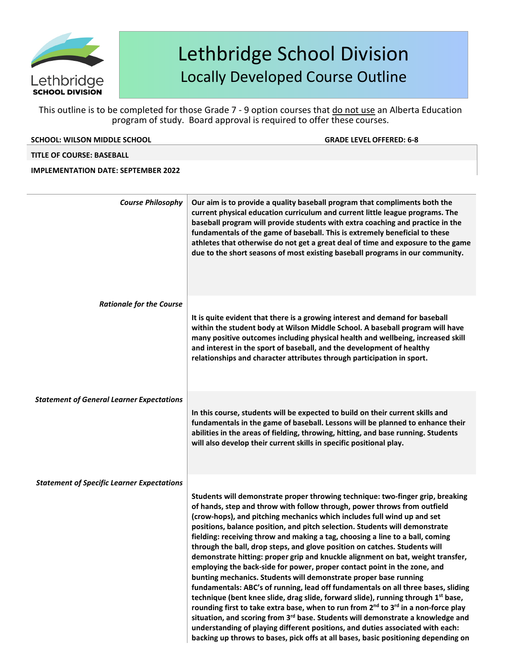

This outline is to be completed for those Grade 7 - 9 option courses that do not use an Alberta Education program of study. Board approval is required to offer these courses.

### **SCHOOL: WILSON MIDDLE SCHOOL GRADE LEVELOFFERED: 6-8**

### **TITLE OF COURSE: BASEBALL**

### **IMPLEMENTATION DATE: SEPTEMBER 2022**

| <b>Course Philosophy</b>                          | Our aim is to provide a quality baseball program that compliments both the<br>current physical education curriculum and current little league programs. The<br>baseball program will provide students with extra coaching and practice in the<br>fundamentals of the game of baseball. This is extremely beneficial to these<br>athletes that otherwise do not get a great deal of time and exposure to the game<br>due to the short seasons of most existing baseball programs in our community.                                                                                                                                                                                                                                                                                                                                                                                                                                                                                                                                                                                                                                                                                                           |
|---------------------------------------------------|-------------------------------------------------------------------------------------------------------------------------------------------------------------------------------------------------------------------------------------------------------------------------------------------------------------------------------------------------------------------------------------------------------------------------------------------------------------------------------------------------------------------------------------------------------------------------------------------------------------------------------------------------------------------------------------------------------------------------------------------------------------------------------------------------------------------------------------------------------------------------------------------------------------------------------------------------------------------------------------------------------------------------------------------------------------------------------------------------------------------------------------------------------------------------------------------------------------|
| <b>Rationale for the Course</b>                   |                                                                                                                                                                                                                                                                                                                                                                                                                                                                                                                                                                                                                                                                                                                                                                                                                                                                                                                                                                                                                                                                                                                                                                                                             |
|                                                   | It is quite evident that there is a growing interest and demand for baseball<br>within the student body at Wilson Middle School. A baseball program will have<br>many positive outcomes including physical health and wellbeing, increased skill<br>and interest in the sport of baseball, and the development of healthy<br>relationships and character attributes through participation in sport.                                                                                                                                                                                                                                                                                                                                                                                                                                                                                                                                                                                                                                                                                                                                                                                                         |
| <b>Statement of General Learner Expectations</b>  |                                                                                                                                                                                                                                                                                                                                                                                                                                                                                                                                                                                                                                                                                                                                                                                                                                                                                                                                                                                                                                                                                                                                                                                                             |
|                                                   | fundamentals in the game of baseball. Lessons will be planned to enhance their<br>abilities in the areas of fielding, throwing, hitting, and base running. Students<br>will also develop their current skills in specific positional play.                                                                                                                                                                                                                                                                                                                                                                                                                                                                                                                                                                                                                                                                                                                                                                                                                                                                                                                                                                  |
| <b>Statement of Specific Learner Expectations</b> |                                                                                                                                                                                                                                                                                                                                                                                                                                                                                                                                                                                                                                                                                                                                                                                                                                                                                                                                                                                                                                                                                                                                                                                                             |
|                                                   | Students will demonstrate proper throwing technique: two-finger grip, breaking<br>of hands, step and throw with follow through, power throws from outfield<br>(crow-hops), and pitching mechanics which includes full wind up and set<br>positions, balance position, and pitch selection. Students will demonstrate<br>fielding: receiving throw and making a tag, choosing a line to a ball, coming<br>through the ball, drop steps, and glove position on catches. Students will<br>demonstrate hitting: proper grip and knuckle alignment on bat, weight transfer,<br>employing the back-side for power, proper contact point in the zone, and<br>bunting mechanics. Students will demonstrate proper base running<br>fundamentals: ABC's of running, lead off fundamentals on all three bases, sliding<br>technique (bent knee slide, drag slide, forward slide), running through 1 <sup>st</sup> base,<br>rounding first to take extra base, when to run from 2 <sup>nd</sup> to 3 <sup>rd</sup> in a non-force play<br>situation, and scoring from 3 <sup>rd</sup> base. Students will demonstrate a knowledge and<br>understanding of playing different positions, and duties associated with each: |
|                                                   | In this course, students will be expected to build on their current skills and<br>backing up throws to bases, pick offs at all bases, basic positioning depending on                                                                                                                                                                                                                                                                                                                                                                                                                                                                                                                                                                                                                                                                                                                                                                                                                                                                                                                                                                                                                                        |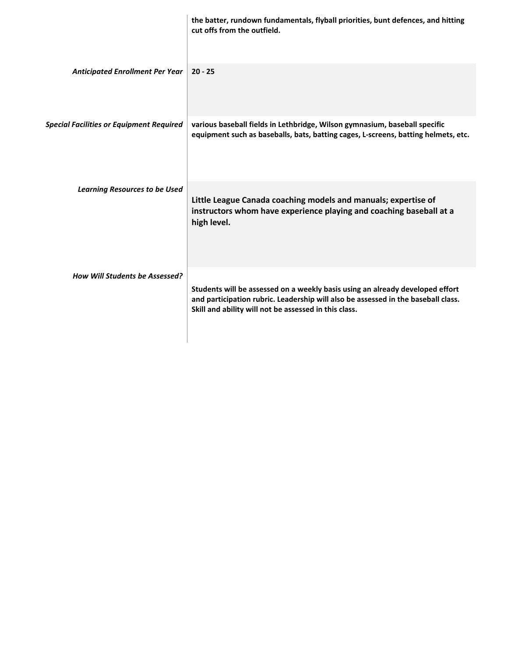|                                                 | the batter, rundown fundamentals, flyball priorities, bunt defences, and hitting<br>cut offs from the outfield.                                                                                                             |
|-------------------------------------------------|-----------------------------------------------------------------------------------------------------------------------------------------------------------------------------------------------------------------------------|
| <b>Anticipated Enrollment Per Year</b>          | $20 - 25$                                                                                                                                                                                                                   |
| <b>Special Facilities or Equipment Required</b> | various baseball fields in Lethbridge, Wilson gymnasium, baseball specific<br>equipment such as baseballs, bats, batting cages, L-screens, batting helmets, etc.                                                            |
| <b>Learning Resources to be Used</b>            | Little League Canada coaching models and manuals; expertise of<br>instructors whom have experience playing and coaching baseball at a<br>high level.                                                                        |
| <b>How Will Students be Assessed?</b>           | Students will be assessed on a weekly basis using an already developed effort<br>and participation rubric. Leadership will also be assessed in the baseball class.<br>Skill and ability will not be assessed in this class. |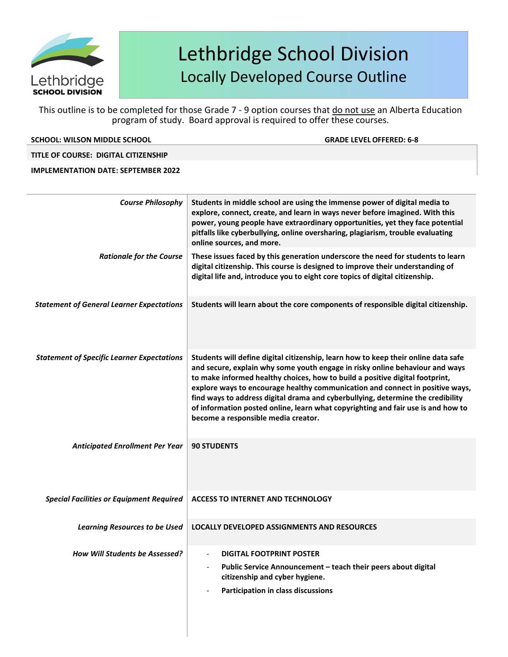

This outline is to be completed for those Grade 7 - 9 option courses that do not use an Alberta Education program of study. Board approval is required to offer these courses.

### **SCHOOL: WILSON MIDDLE SCHOOL GRADE LEVELOFFERED: 6-8**

### **TITLE OF COURSE: DIGITAL CITIZENSHIP**

### **IMPLEMENTATION DATE: SEPTEMBER 2022**

| <b>Course Philosophy</b>                          | Students in middle school are using the immense power of digital media to<br>explore, connect, create, and learn in ways never before imagined. With this<br>power, young people have extraordinary opportunities, yet they face potential<br>pitfalls like cyberbullying, online oversharing, plagiarism, trouble evaluating<br>online sources, and more.                                                                                                                                                                                        |
|---------------------------------------------------|---------------------------------------------------------------------------------------------------------------------------------------------------------------------------------------------------------------------------------------------------------------------------------------------------------------------------------------------------------------------------------------------------------------------------------------------------------------------------------------------------------------------------------------------------|
| <b>Rationale for the Course</b>                   | These issues faced by this generation underscore the need for students to learn<br>digital citizenship. This course is designed to improve their understanding of<br>digital life and, introduce you to eight core topics of digital citizenship.                                                                                                                                                                                                                                                                                                 |
| <b>Statement of General Learner Expectations</b>  | Students will learn about the core components of responsible digital citizenship.                                                                                                                                                                                                                                                                                                                                                                                                                                                                 |
| <b>Statement of Specific Learner Expectations</b> | Students will define digital citizenship, learn how to keep their online data safe<br>and secure, explain why some youth engage in risky online behaviour and ways<br>to make informed healthy choices, how to build a positive digital footprint,<br>explore ways to encourage healthy communication and connect in positive ways,<br>find ways to address digital drama and cyberbullying, determine the credibility<br>of information posted online, learn what copyrighting and fair use is and how to<br>become a responsible media creator. |
| <b>Anticipated Enrollment Per Year</b>            | <b>90 STUDENTS</b>                                                                                                                                                                                                                                                                                                                                                                                                                                                                                                                                |
| <b>Special Facilities or Equipment Required</b>   | <b>ACCESS TO INTERNET AND TECHNOLOGY</b>                                                                                                                                                                                                                                                                                                                                                                                                                                                                                                          |
| <b>Learning Resources to be Used</b>              | <b>LOCALLY DEVELOPED ASSIGNMENTS AND RESOURCES</b>                                                                                                                                                                                                                                                                                                                                                                                                                                                                                                |
| <b>How Will Students be Assessed?</b>             | <b>DIGITAL FOOTPRINT POSTER</b><br>Public Service Announcement - teach their peers about digital<br>citizenship and cyber hygiene.<br>Participation in class discussions                                                                                                                                                                                                                                                                                                                                                                          |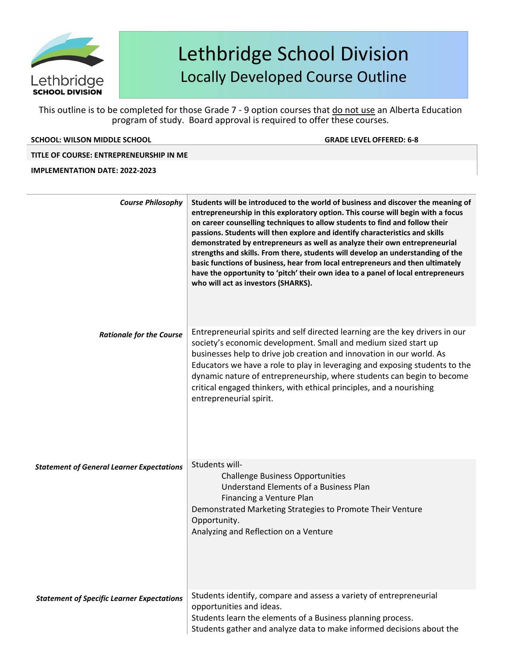

This outline is to be completed for those Grade 7 - 9 option courses that do not use an Alberta Education program of study. Board approval is required to offer these courses.

### **SCHOOL: WILSON MIDDLE SCHOOL GRADE LEVELOFFERED: 6-8**

### **TITLE OF COURSE: ENTREPRENEURSHIP IN ME**

#### **IMPLEMENTATION DATE: 2022-2023**

| <b>Course Philosophy</b>                          | Students will be introduced to the world of business and discover the meaning of<br>entrepreneurship in this exploratory option. This course will begin with a focus<br>on career counselling techniques to allow students to find and follow their<br>passions. Students will then explore and identify characteristics and skills<br>demonstrated by entrepreneurs as well as analyze their own entrepreneurial<br>strengths and skills. From there, students will develop an understanding of the<br>basic functions of business, hear from local entrepreneurs and then ultimately<br>have the opportunity to 'pitch' their own idea to a panel of local entrepreneurs<br>who will act as investors (SHARKS). |
|---------------------------------------------------|-------------------------------------------------------------------------------------------------------------------------------------------------------------------------------------------------------------------------------------------------------------------------------------------------------------------------------------------------------------------------------------------------------------------------------------------------------------------------------------------------------------------------------------------------------------------------------------------------------------------------------------------------------------------------------------------------------------------|
| <b>Rationale for the Course</b>                   | Entrepreneurial spirits and self directed learning are the key drivers in our<br>society's economic development. Small and medium sized start up<br>businesses help to drive job creation and innovation in our world. As<br>Educators we have a role to play in leveraging and exposing students to the<br>dynamic nature of entrepreneurship, where students can begin to become<br>critical engaged thinkers, with ethical principles, and a nourishing<br>entrepreneurial spirit.                                                                                                                                                                                                                             |
| <b>Statement of General Learner Expectations</b>  | Students will-<br><b>Challenge Business Opportunities</b><br>Understand Elements of a Business Plan<br>Financing a Venture Plan<br>Demonstrated Marketing Strategies to Promote Their Venture<br>Opportunity.<br>Analyzing and Reflection on a Venture                                                                                                                                                                                                                                                                                                                                                                                                                                                            |
| <b>Statement of Specific Learner Expectations</b> | Students identify, compare and assess a variety of entrepreneurial<br>opportunities and ideas.<br>Students learn the elements of a Business planning process.<br>Students gather and analyze data to make informed decisions about the                                                                                                                                                                                                                                                                                                                                                                                                                                                                            |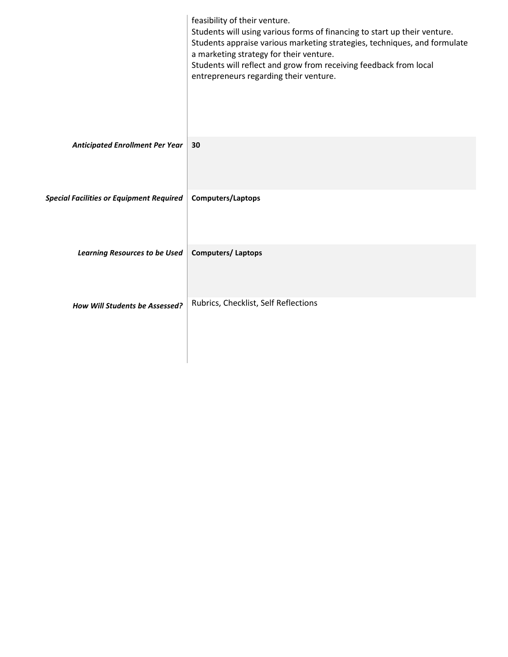|                                                 | feasibility of their venture.<br>Students will using various forms of financing to start up their venture.<br>Students appraise various marketing strategies, techniques, and formulate<br>a marketing strategy for their venture.<br>Students will reflect and grow from receiving feedback from local<br>entrepreneurs regarding their venture. |
|-------------------------------------------------|---------------------------------------------------------------------------------------------------------------------------------------------------------------------------------------------------------------------------------------------------------------------------------------------------------------------------------------------------|
| <b>Anticipated Enrollment Per Year</b>          | 30                                                                                                                                                                                                                                                                                                                                                |
| <b>Special Facilities or Equipment Required</b> | Computers/Laptops                                                                                                                                                                                                                                                                                                                                 |
| <b>Learning Resources to be Used</b>            | <b>Computers/Laptops</b>                                                                                                                                                                                                                                                                                                                          |
| <b>How Will Students be Assessed?</b>           | Rubrics, Checklist, Self Reflections                                                                                                                                                                                                                                                                                                              |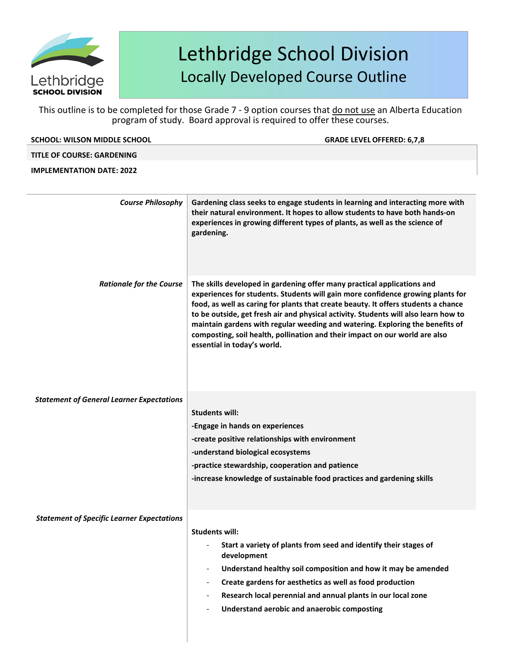

| <b>SCHOOL: WILSON MIDDLE SCHOOL</b>               | <b>GRADE LEVEL OFFERED: 6,7,8</b>                                                                                                                                                                                                                                                                                                                                                                                                                                                                                                      |
|---------------------------------------------------|----------------------------------------------------------------------------------------------------------------------------------------------------------------------------------------------------------------------------------------------------------------------------------------------------------------------------------------------------------------------------------------------------------------------------------------------------------------------------------------------------------------------------------------|
| <b>TITLE OF COURSE: GARDENING</b>                 |                                                                                                                                                                                                                                                                                                                                                                                                                                                                                                                                        |
| <b>IMPLEMENTATION DATE: 2022</b>                  |                                                                                                                                                                                                                                                                                                                                                                                                                                                                                                                                        |
| <b>Course Philosophy</b>                          | Gardening class seeks to engage students in learning and interacting more with<br>their natural environment. It hopes to allow students to have both hands-on<br>experiences in growing different types of plants, as well as the science of<br>gardening.                                                                                                                                                                                                                                                                             |
| <b>Rationale for the Course</b>                   | The skills developed in gardening offer many practical applications and<br>experiences for students. Students will gain more confidence growing plants for<br>food, as well as caring for plants that create beauty. It offers students a chance<br>to be outside, get fresh air and physical activity. Students will also learn how to<br>maintain gardens with regular weeding and watering. Exploring the benefits of<br>composting, soil health, pollination and their impact on our world are also<br>essential in today's world. |
| <b>Statement of General Learner Expectations</b>  | <b>Students will:</b><br>-Engage in hands on experiences<br>-create positive relationships with environment<br>-understand biological ecosystems<br>-practice stewardship, cooperation and patience<br>-increase knowledge of sustainable food practices and gardening skills                                                                                                                                                                                                                                                          |
| <b>Statement of Specific Learner Expectations</b> | <b>Students will:</b><br>Start a variety of plants from seed and identify their stages of<br>development<br>Understand healthy soil composition and how it may be amended<br>Create gardens for aesthetics as well as food production<br>Research local perennial and annual plants in our local zone<br>Understand aerobic and anaerobic composting                                                                                                                                                                                   |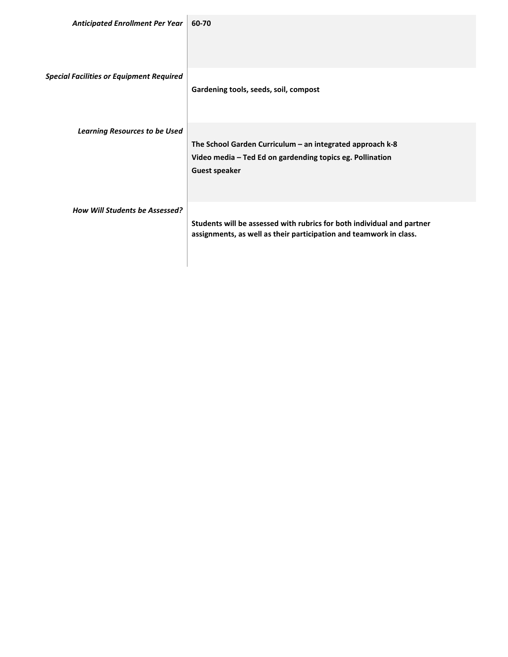| Anticipated Enrollment Per Year                 | 60-70                                                                                                                                          |
|-------------------------------------------------|------------------------------------------------------------------------------------------------------------------------------------------------|
| <b>Special Facilities or Equipment Required</b> | Gardening tools, seeds, soil, compost                                                                                                          |
| <b>Learning Resources to be Used</b>            | The School Garden Curriculum - an integrated approach k-8<br>Video media - Ted Ed on gardending topics eg. Pollination<br><b>Guest speaker</b> |
| <b>How Will Students be Assessed?</b>           | Students will be assessed with rubrics for both individual and partner<br>assignments, as well as their participation and teamwork in class.   |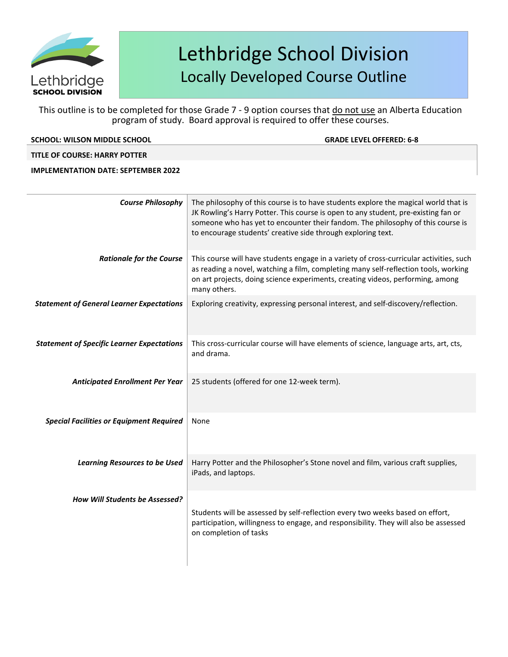

This outline is to be completed for those Grade 7 - 9 option courses that do not use an Alberta Education program of study. Board approval is required to offer these courses.

| <b>SCHOOL: WILSON MIDDLE SCHOOL</b>               | <b>GRADE LEVEL OFFERED: 6-8</b>                                                                                                                                                                                                                                                                                              |
|---------------------------------------------------|------------------------------------------------------------------------------------------------------------------------------------------------------------------------------------------------------------------------------------------------------------------------------------------------------------------------------|
| <b>TITLE OF COURSE: HARRY POTTER</b>              |                                                                                                                                                                                                                                                                                                                              |
| <b>IMPLEMENTATION DATE: SEPTEMBER 2022</b>        |                                                                                                                                                                                                                                                                                                                              |
|                                                   |                                                                                                                                                                                                                                                                                                                              |
| <b>Course Philosophy</b>                          | The philosophy of this course is to have students explore the magical world that is<br>JK Rowling's Harry Potter. This course is open to any student, pre-existing fan or<br>someone who has yet to encounter their fandom. The philosophy of this course is<br>to encourage students' creative side through exploring text. |
| <b>Rationale for the Course</b>                   | This course will have students engage in a variety of cross-curricular activities, such<br>as reading a novel, watching a film, completing many self-reflection tools, working<br>on art projects, doing science experiments, creating videos, performing, among<br>many others.                                             |
| <b>Statement of General Learner Expectations</b>  | Exploring creativity, expressing personal interest, and self-discovery/reflection.                                                                                                                                                                                                                                           |
| <b>Statement of Specific Learner Expectations</b> | This cross-curricular course will have elements of science, language arts, art, cts,<br>and drama.                                                                                                                                                                                                                           |
| <b>Anticipated Enrollment Per Year</b>            | 25 students (offered for one 12-week term).                                                                                                                                                                                                                                                                                  |
| <b>Special Facilities or Equipment Required</b>   | None                                                                                                                                                                                                                                                                                                                         |

Learning Resources to be Used | Harry Potter and the Philosopher's Stone novel and film, various craft supplies,

Students will be assessed by self-reflection every two weeks based on effort, participation, willingness to engage, and responsibility. They will also be assessed

iPads, and laptops.

on completion of tasks

*How Will Students be Assessed?*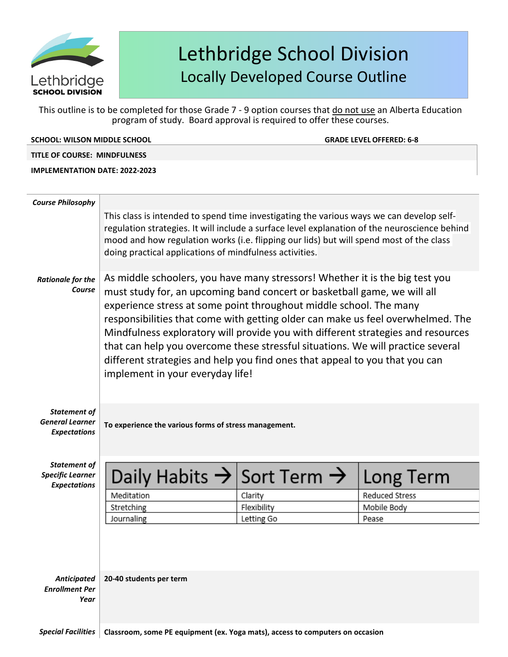

This outline is to be completed for those Grade 7 - 9 option courses that do not use an Alberta Education program of study. Board approval is required to offer these courses.

**SCHOOL: WILSON MIDDLE SCHOOL GRADE LEVELOFFERED: 6-8**

**TITLE OF COURSE: MINDFULNESS**

**IMPLEMENTATION DATE: 2022-2023**

| <b>Course Philosophy</b>                                              |                                                                                                                                                                                                                                                                                                                                                                                                                                                                                                                                                                                                             |             |                       |
|-----------------------------------------------------------------------|-------------------------------------------------------------------------------------------------------------------------------------------------------------------------------------------------------------------------------------------------------------------------------------------------------------------------------------------------------------------------------------------------------------------------------------------------------------------------------------------------------------------------------------------------------------------------------------------------------------|-------------|-----------------------|
|                                                                       | This class is intended to spend time investigating the various ways we can develop self-<br>regulation strategies. It will include a surface level explanation of the neuroscience behind<br>mood and how regulation works (i.e. flipping our lids) but will spend most of the class<br>doing practical applications of mindfulness activities.                                                                                                                                                                                                                                                             |             |                       |
| <b>Rationale for the</b><br>Course                                    | As middle schoolers, you have many stressors! Whether it is the big test you<br>must study for, an upcoming band concert or basketball game, we will all<br>experience stress at some point throughout middle school. The many<br>responsibilities that come with getting older can make us feel overwhelmed. The<br>Mindfulness exploratory will provide you with different strategies and resources<br>that can help you overcome these stressful situations. We will practice several<br>different strategies and help you find ones that appeal to you that you can<br>implement in your everyday life! |             |                       |
| <b>Statement of</b><br><b>General Learner</b><br><b>Expectations</b>  | To experience the various forms of stress management.                                                                                                                                                                                                                                                                                                                                                                                                                                                                                                                                                       |             |                       |
| <b>Statement of</b><br><b>Specific Learner</b><br><b>Expectations</b> | Daily Habits $\rightarrow$ Sort Term $\rightarrow$                                                                                                                                                                                                                                                                                                                                                                                                                                                                                                                                                          |             | Long Term             |
|                                                                       | Meditation                                                                                                                                                                                                                                                                                                                                                                                                                                                                                                                                                                                                  | Clarity     | <b>Reduced Stress</b> |
|                                                                       | Stretching                                                                                                                                                                                                                                                                                                                                                                                                                                                                                                                                                                                                  | Flexibility | Mobile Body           |
|                                                                       | Journaling                                                                                                                                                                                                                                                                                                                                                                                                                                                                                                                                                                                                  | Letting Go  | Pease                 |
|                                                                       |                                                                                                                                                                                                                                                                                                                                                                                                                                                                                                                                                                                                             |             |                       |
| <b>Anticipated</b><br><b>Enrollment Per</b><br>Year                   | 20-40 students per term                                                                                                                                                                                                                                                                                                                                                                                                                                                                                                                                                                                     |             |                       |
|                                                                       |                                                                                                                                                                                                                                                                                                                                                                                                                                                                                                                                                                                                             |             |                       |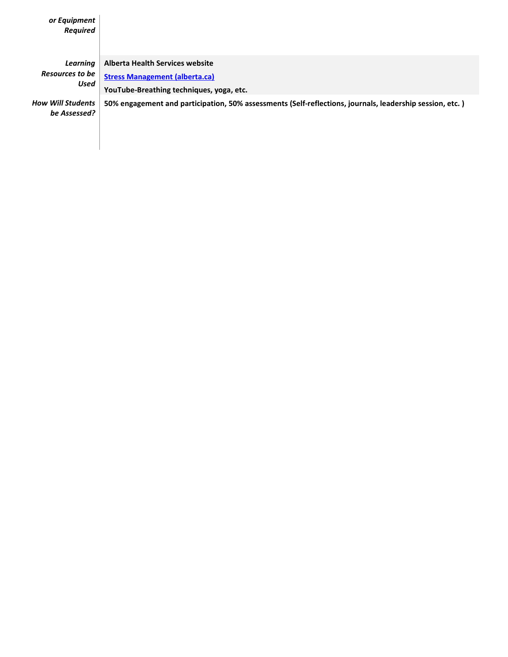| or Equipment<br><b>Required</b>            |                                                                                                                      |
|--------------------------------------------|----------------------------------------------------------------------------------------------------------------------|
| Learning<br><b>Resources to be</b><br>Used | Alberta Health Services website<br><b>Stress Management (alberta.ca)</b><br>YouTube-Breathing techniques, yoga, etc. |
| <b>How Will Students</b><br>be Assessed?   | [50% engagement and participation, 50% assessments (Self-reflections, journals, leadership session, etc.)            |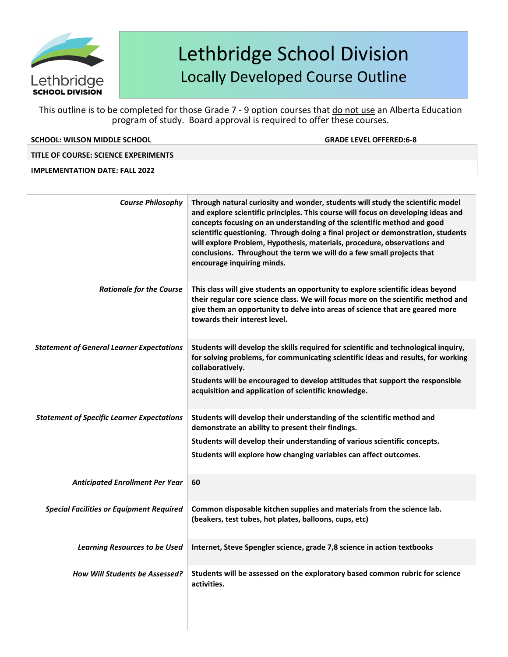

This outline is to be completed for those Grade 7 - 9 option courses that do not use an Alberta Education program of study. Board approval is required to offer these courses.

### **SCHOOL: WILSON MIDDLE SCHOOL GRADE LEVELOFFERED:6-8**

### **TITLE OF COURSE: SCIENCE EXPERIMENTS**

### **IMPLEMENTATION DATE: FALL 2022**

| <b>Course Philosophy</b>                          | Through natural curiosity and wonder, students will study the scientific model<br>and explore scientific principles. This course will focus on developing ideas and<br>concepts focusing on an understanding of the scientific method and good<br>scientific questioning. Through doing a final project or demonstration, students<br>will explore Problem, Hypothesis, materials, procedure, observations and<br>conclusions. Throughout the term we will do a few small projects that<br>encourage inquiring minds. |
|---------------------------------------------------|-----------------------------------------------------------------------------------------------------------------------------------------------------------------------------------------------------------------------------------------------------------------------------------------------------------------------------------------------------------------------------------------------------------------------------------------------------------------------------------------------------------------------|
| <b>Rationale for the Course</b>                   | This class will give students an opportunity to explore scientific ideas beyond<br>their regular core science class. We will focus more on the scientific method and<br>give them an opportunity to delve into areas of science that are geared more<br>towards their interest level.                                                                                                                                                                                                                                 |
| <b>Statement of General Learner Expectations</b>  | Students will develop the skills required for scientific and technological inquiry,<br>for solving problems, for communicating scientific ideas and results, for working<br>collaboratively.<br>Students will be encouraged to develop attitudes that support the responsible<br>acquisition and application of scientific knowledge.                                                                                                                                                                                 |
| <b>Statement of Specific Learner Expectations</b> | Students will develop their understanding of the scientific method and<br>demonstrate an ability to present their findings.<br>Students will develop their understanding of various scientific concepts.<br>Students will explore how changing variables can affect outcomes.                                                                                                                                                                                                                                         |
| <b>Anticipated Enrollment Per Year</b>            | 60                                                                                                                                                                                                                                                                                                                                                                                                                                                                                                                    |
| <b>Special Facilities or Equipment Required</b>   | Common disposable kitchen supplies and materials from the science lab.<br>(beakers, test tubes, hot plates, balloons, cups, etc)                                                                                                                                                                                                                                                                                                                                                                                      |
| <b>Learning Resources to be Used</b>              | Internet, Steve Spengler science, grade 7,8 science in action textbooks                                                                                                                                                                                                                                                                                                                                                                                                                                               |
| <b>How Will Students be Assessed?</b>             | Students will be assessed on the exploratory based common rubric for science<br>activities.                                                                                                                                                                                                                                                                                                                                                                                                                           |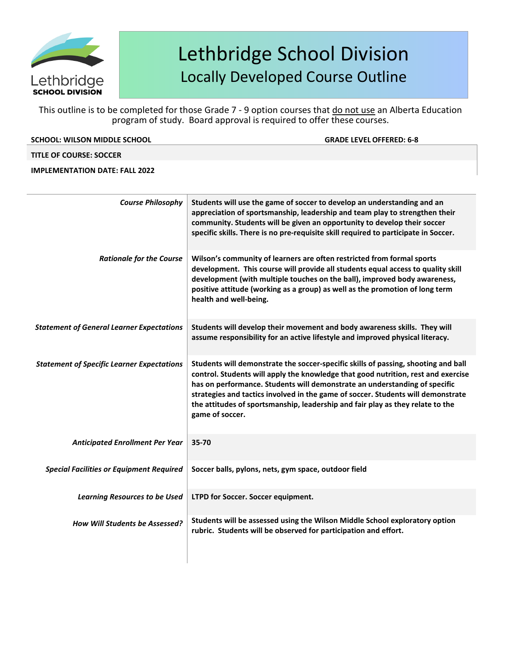

This outline is to be completed for those Grade 7 - 9 option courses that do not use an Alberta Education program of study. Board approval is required to offer these courses.

| <b>SCHOOL: WILSON MIDDLE SCHOOL</b> | <b>GRADE LEVEL OFFERED: 6-8</b> |
|-------------------------------------|---------------------------------|

### **TITLE OF COURSE: SOCCER**

### **IMPLEMENTATION DATE: FALL 2022**

| <b>Course Philosophy</b>                          | Students will use the game of soccer to develop an understanding and an<br>appreciation of sportsmanship, leadership and team play to strengthen their<br>community. Students will be given an opportunity to develop their soccer<br>specific skills. There is no pre-requisite skill required to participate in Soccer.                                                                                                                      |
|---------------------------------------------------|------------------------------------------------------------------------------------------------------------------------------------------------------------------------------------------------------------------------------------------------------------------------------------------------------------------------------------------------------------------------------------------------------------------------------------------------|
| <b>Rationale for the Course</b>                   | Wilson's community of learners are often restricted from formal sports<br>development. This course will provide all students equal access to quality skill<br>development (with multiple touches on the ball), improved body awareness,<br>positive attitude (working as a group) as well as the promotion of long term<br>health and well-being.                                                                                              |
| <b>Statement of General Learner Expectations</b>  | Students will develop their movement and body awareness skills. They will<br>assume responsibility for an active lifestyle and improved physical literacy.                                                                                                                                                                                                                                                                                     |
| <b>Statement of Specific Learner Expectations</b> | Students will demonstrate the soccer-specific skills of passing, shooting and ball<br>control. Students will apply the knowledge that good nutrition, rest and exercise<br>has on performance. Students will demonstrate an understanding of specific<br>strategies and tactics involved in the game of soccer. Students will demonstrate<br>the attitudes of sportsmanship, leadership and fair play as they relate to the<br>game of soccer. |
| <b>Anticipated Enrollment Per Year</b>            | 35-70                                                                                                                                                                                                                                                                                                                                                                                                                                          |
| <b>Special Facilities or Equipment Required</b>   | Soccer balls, pylons, nets, gym space, outdoor field                                                                                                                                                                                                                                                                                                                                                                                           |
| <b>Learning Resources to be Used</b>              | LTPD for Soccer. Soccer equipment.                                                                                                                                                                                                                                                                                                                                                                                                             |
| How Will Students be Assessed?                    | Students will be assessed using the Wilson Middle School exploratory option<br>rubric. Students will be observed for participation and effort.                                                                                                                                                                                                                                                                                                 |